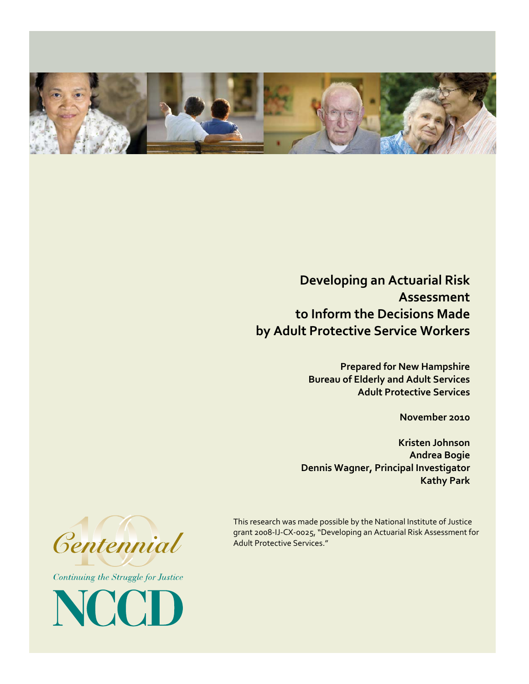

**Developing an Actuarial Risk Assessment to Inform the Decisions Made by Adult Protective Service Workers**

> **Prepared for New Hampshire Bureau of Elderly and Adult Services Adult Protective Services**

> > **November 2010**

**Kristen Johnson Andrea Bogie Dennis Wagner, Principal Investigator Kathy Park**

This research was made possible by the National Institute of Justice grant 2008‐IJ‐CX‐0025, "Developing an Actuarial Risk Assessment for Adult Protective Services."



Continuing the Struggle for Justice

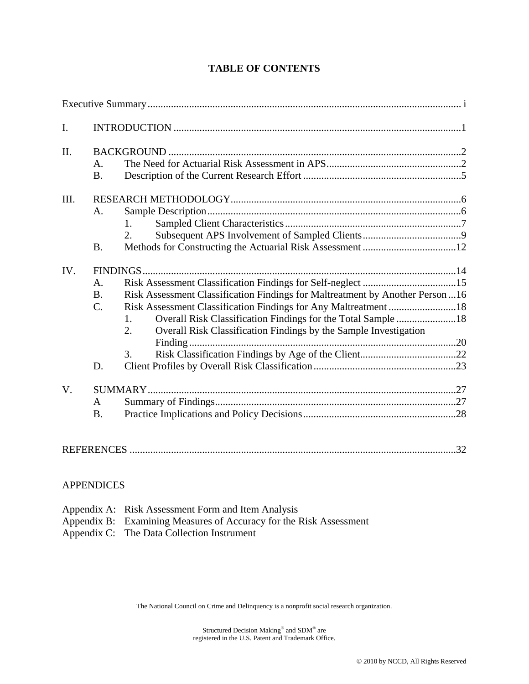| I.   |                |                                                                              |     |  |  |  |
|------|----------------|------------------------------------------------------------------------------|-----|--|--|--|
| Π.   |                |                                                                              |     |  |  |  |
|      | A <sub>1</sub> |                                                                              |     |  |  |  |
|      | <b>B.</b>      |                                                                              |     |  |  |  |
| III. |                |                                                                              |     |  |  |  |
|      | A.             |                                                                              |     |  |  |  |
|      |                | 1.                                                                           |     |  |  |  |
|      |                | 2.                                                                           |     |  |  |  |
|      | <b>B.</b>      |                                                                              |     |  |  |  |
| IV.  |                |                                                                              |     |  |  |  |
|      | $A_{\cdot}$    |                                                                              |     |  |  |  |
|      | <b>B.</b>      | Risk Assessment Classification Findings for Maltreatment by Another Person16 |     |  |  |  |
|      | $C$ .          | Risk Assessment Classification Findings for Any Maltreatment 18              |     |  |  |  |
|      |                | Overall Risk Classification Findings for the Total Sample 18<br>1.           |     |  |  |  |
|      |                | 2.<br>Overall Risk Classification Findings by the Sample Investigation       |     |  |  |  |
|      |                |                                                                              |     |  |  |  |
|      |                | 3.                                                                           |     |  |  |  |
|      | D.             |                                                                              |     |  |  |  |
| V.   |                |                                                                              |     |  |  |  |
|      | $\mathbf{A}$   |                                                                              |     |  |  |  |
|      | <b>B.</b>      |                                                                              |     |  |  |  |
|      |                |                                                                              |     |  |  |  |
|      |                |                                                                              | .32 |  |  |  |

# **TABLE OF CONTENTS**

# APPENDICES

| Appendix A: Risk Assessment Form and Item Analysis                 |
|--------------------------------------------------------------------|
| Appendix B: Examining Measures of Accuracy for the Risk Assessment |
| Appendix C: The Data Collection Instrument                         |

The National Council on Crime and Delinquency is a nonprofit social research organization.

Structured Decision Making® and SDM® are registered in the U.S. Patent and Trademark Office.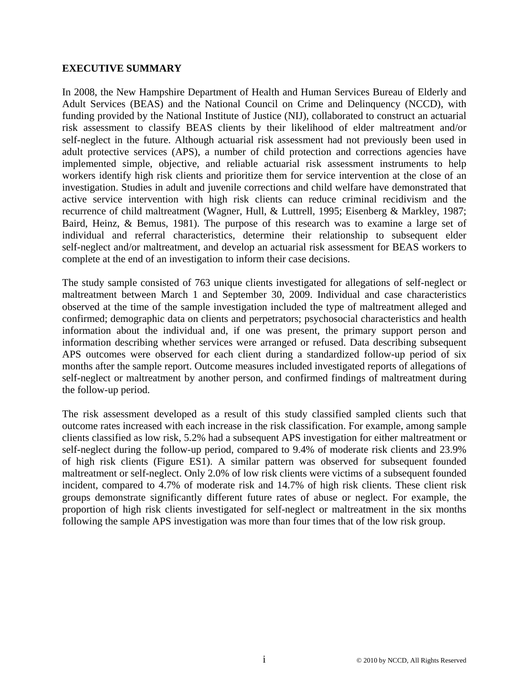# **EXECUTIVE SUMMARY**

In 2008, the New Hampshire Department of Health and Human Services Bureau of Elderly and Adult Services (BEAS) and the National Council on Crime and Delinquency (NCCD), with funding provided by the National Institute of Justice (NIJ), collaborated to construct an actuarial risk assessment to classify BEAS clients by their likelihood of elder maltreatment and/or self-neglect in the future. Although actuarial risk assessment had not previously been used in adult protective services (APS), a number of child protection and corrections agencies have implemented simple, objective, and reliable actuarial risk assessment instruments to help workers identify high risk clients and prioritize them for service intervention at the close of an investigation. Studies in adult and juvenile corrections and child welfare have demonstrated that active service intervention with high risk clients can reduce criminal recidivism and the recurrence of child maltreatment (Wagner, Hull, & Luttrell, 1995; Eisenberg & Markley, 1987; Baird, Heinz, & Bemus, 1981). The purpose of this research was to examine a large set of individual and referral characteristics, determine their relationship to subsequent elder self-neglect and/or maltreatment, and develop an actuarial risk assessment for BEAS workers to complete at the end of an investigation to inform their case decisions.

The study sample consisted of 763 unique clients investigated for allegations of self-neglect or maltreatment between March 1 and September 30, 2009. Individual and case characteristics observed at the time of the sample investigation included the type of maltreatment alleged and confirmed; demographic data on clients and perpetrators; psychosocial characteristics and health information about the individual and, if one was present, the primary support person and information describing whether services were arranged or refused. Data describing subsequent APS outcomes were observed for each client during a standardized follow-up period of six months after the sample report. Outcome measures included investigated reports of allegations of self-neglect or maltreatment by another person, and confirmed findings of maltreatment during the follow-up period.

The risk assessment developed as a result of this study classified sampled clients such that outcome rates increased with each increase in the risk classification. For example, among sample clients classified as low risk, 5.2% had a subsequent APS investigation for either maltreatment or self-neglect during the follow-up period, compared to 9.4% of moderate risk clients and 23.9% of high risk clients (Figure ES1). A similar pattern was observed for subsequent founded maltreatment or self-neglect. Only 2.0% of low risk clients were victims of a subsequent founded incident, compared to 4.7% of moderate risk and 14.7% of high risk clients. These client risk groups demonstrate significantly different future rates of abuse or neglect. For example, the proportion of high risk clients investigated for self-neglect or maltreatment in the six months following the sample APS investigation was more than four times that of the low risk group.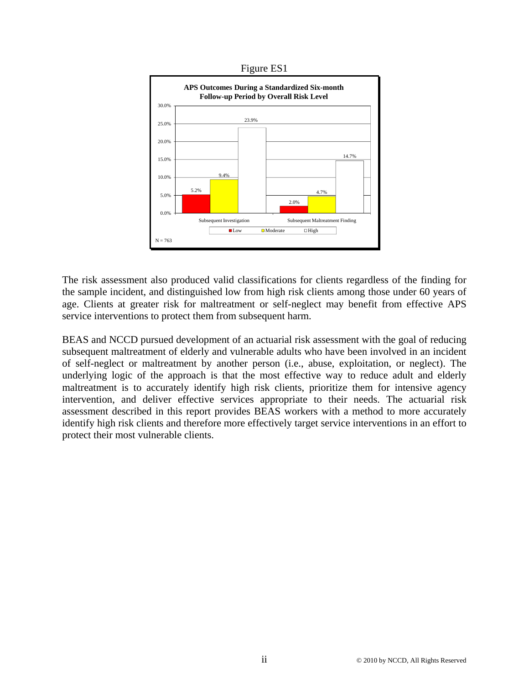

The risk assessment also produced valid classifications for clients regardless of the finding for the sample incident, and distinguished low from high risk clients among those under 60 years of age. Clients at greater risk for maltreatment or self-neglect may benefit from effective APS service interventions to protect them from subsequent harm.

BEAS and NCCD pursued development of an actuarial risk assessment with the goal of reducing subsequent maltreatment of elderly and vulnerable adults who have been involved in an incident of self-neglect or maltreatment by another person (i.e., abuse, exploitation, or neglect). The underlying logic of the approach is that the most effective way to reduce adult and elderly maltreatment is to accurately identify high risk clients, prioritize them for intensive agency intervention, and deliver effective services appropriate to their needs. The actuarial risk assessment described in this report provides BEAS workers with a method to more accurately identify high risk clients and therefore more effectively target service interventions in an effort to protect their most vulnerable clients.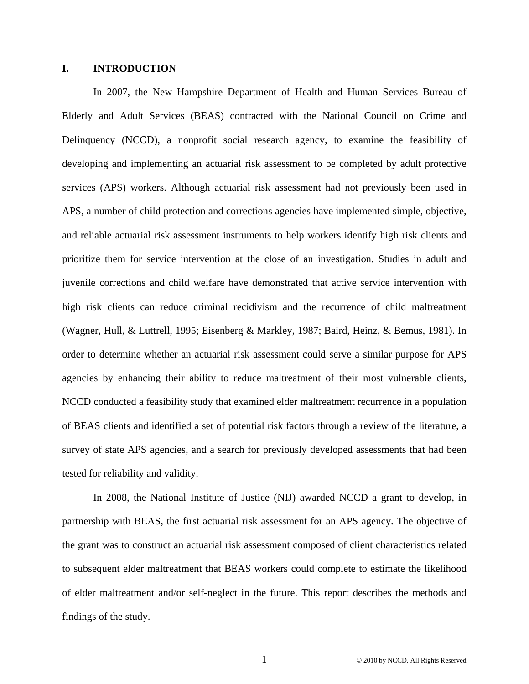## **I. INTRODUCTION**

In 2007, the New Hampshire Department of Health and Human Services Bureau of Elderly and Adult Services (BEAS) contracted with the National Council on Crime and Delinquency (NCCD), a nonprofit social research agency, to examine the feasibility of developing and implementing an actuarial risk assessment to be completed by adult protective services (APS) workers. Although actuarial risk assessment had not previously been used in APS, a number of child protection and corrections agencies have implemented simple, objective, and reliable actuarial risk assessment instruments to help workers identify high risk clients and prioritize them for service intervention at the close of an investigation. Studies in adult and juvenile corrections and child welfare have demonstrated that active service intervention with high risk clients can reduce criminal recidivism and the recurrence of child maltreatment (Wagner, Hull, & Luttrell, 1995; Eisenberg & Markley, 1987; Baird, Heinz, & Bemus, 1981). In order to determine whether an actuarial risk assessment could serve a similar purpose for APS agencies by enhancing their ability to reduce maltreatment of their most vulnerable clients, NCCD conducted a feasibility study that examined elder maltreatment recurrence in a population of BEAS clients and identified a set of potential risk factors through a review of the literature, a survey of state APS agencies, and a search for previously developed assessments that had been tested for reliability and validity.

In 2008, the National Institute of Justice (NIJ) awarded NCCD a grant to develop, in partnership with BEAS, the first actuarial risk assessment for an APS agency. The objective of the grant was to construct an actuarial risk assessment composed of client characteristics related to subsequent elder maltreatment that BEAS workers could complete to estimate the likelihood of elder maltreatment and/or self-neglect in the future. This report describes the methods and findings of the study.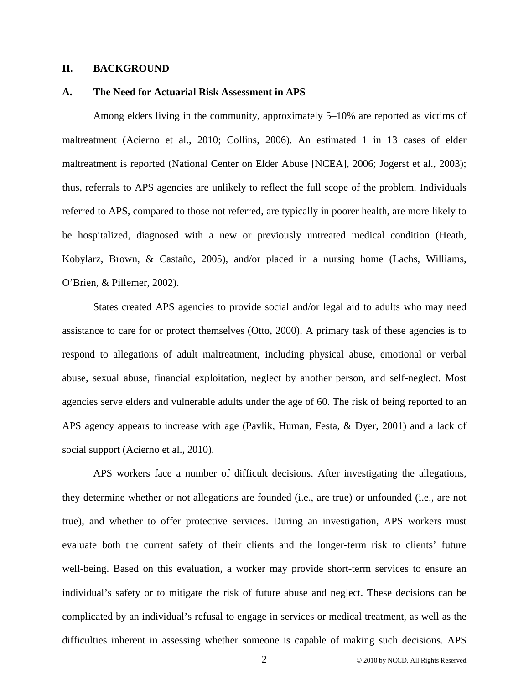#### **II. BACKGROUND**

#### **A. The Need for Actuarial Risk Assessment in APS**

 Among elders living in the community, approximately 5–10% are reported as victims of maltreatment (Acierno et al., 2010; Collins, 2006). An estimated 1 in 13 cases of elder maltreatment is reported (National Center on Elder Abuse [NCEA], 2006; Jogerst et al., 2003); thus, referrals to APS agencies are unlikely to reflect the full scope of the problem. Individuals referred to APS, compared to those not referred, are typically in poorer health, are more likely to be hospitalized, diagnosed with a new or previously untreated medical condition (Heath, Kobylarz, Brown, & Castaño, 2005), and/or placed in a nursing home (Lachs, Williams, O'Brien, & Pillemer, 2002).

 States created APS agencies to provide social and/or legal aid to adults who may need assistance to care for or protect themselves (Otto, 2000). A primary task of these agencies is to respond to allegations of adult maltreatment, including physical abuse, emotional or verbal abuse, sexual abuse, financial exploitation, neglect by another person, and self-neglect. Most agencies serve elders and vulnerable adults under the age of 60. The risk of being reported to an APS agency appears to increase with age (Pavlik, Human, Festa, & Dyer, 2001) and a lack of social support (Acierno et al., 2010).

 APS workers face a number of difficult decisions. After investigating the allegations, they determine whether or not allegations are founded (i.e., are true) or unfounded (i.e., are not true), and whether to offer protective services. During an investigation, APS workers must evaluate both the current safety of their clients and the longer-term risk to clients' future well-being. Based on this evaluation, a worker may provide short-term services to ensure an individual's safety or to mitigate the risk of future abuse and neglect. These decisions can be complicated by an individual's refusal to engage in services or medical treatment, as well as the difficulties inherent in assessing whether someone is capable of making such decisions. APS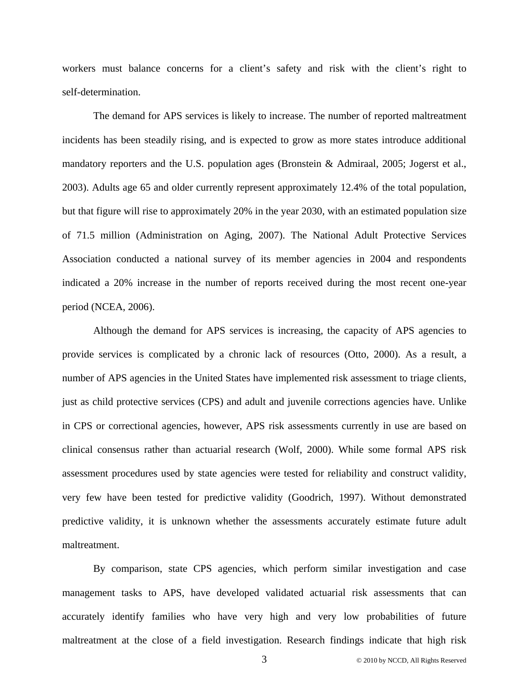workers must balance concerns for a client's safety and risk with the client's right to self-determination.

 The demand for APS services is likely to increase. The number of reported maltreatment incidents has been steadily rising, and is expected to grow as more states introduce additional mandatory reporters and the U.S. population ages (Bronstein & Admiraal, 2005; Jogerst et al., 2003). Adults age 65 and older currently represent approximately 12.4% of the total population, but that figure will rise to approximately 20% in the year 2030, with an estimated population size of 71.5 million (Administration on Aging, 2007). The National Adult Protective Services Association conducted a national survey of its member agencies in 2004 and respondents indicated a 20% increase in the number of reports received during the most recent one-year period (NCEA, 2006).

 Although the demand for APS services is increasing, the capacity of APS agencies to provide services is complicated by a chronic lack of resources (Otto, 2000). As a result, a number of APS agencies in the United States have implemented risk assessment to triage clients, just as child protective services (CPS) and adult and juvenile corrections agencies have. Unlike in CPS or correctional agencies, however, APS risk assessments currently in use are based on clinical consensus rather than actuarial research (Wolf, 2000). While some formal APS risk assessment procedures used by state agencies were tested for reliability and construct validity, very few have been tested for predictive validity (Goodrich, 1997). Without demonstrated predictive validity, it is unknown whether the assessments accurately estimate future adult maltreatment.

 By comparison, state CPS agencies, which perform similar investigation and case management tasks to APS, have developed validated actuarial risk assessments that can accurately identify families who have very high and very low probabilities of future maltreatment at the close of a field investigation. Research findings indicate that high risk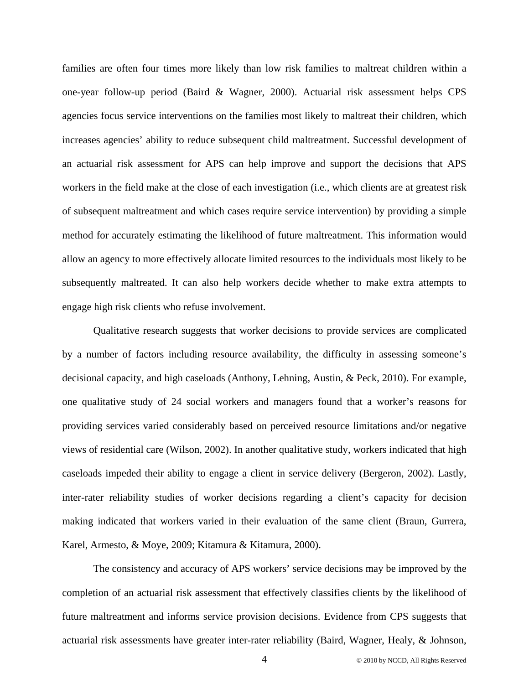families are often four times more likely than low risk families to maltreat children within a one-year follow-up period (Baird & Wagner, 2000). Actuarial risk assessment helps CPS agencies focus service interventions on the families most likely to maltreat their children, which increases agencies' ability to reduce subsequent child maltreatment. Successful development of an actuarial risk assessment for APS can help improve and support the decisions that APS workers in the field make at the close of each investigation (i.e., which clients are at greatest risk of subsequent maltreatment and which cases require service intervention) by providing a simple method for accurately estimating the likelihood of future maltreatment. This information would allow an agency to more effectively allocate limited resources to the individuals most likely to be subsequently maltreated. It can also help workers decide whether to make extra attempts to engage high risk clients who refuse involvement.

 Qualitative research suggests that worker decisions to provide services are complicated by a number of factors including resource availability, the difficulty in assessing someone's decisional capacity, and high caseloads (Anthony, Lehning, Austin, & Peck, 2010). For example, one qualitative study of 24 social workers and managers found that a worker's reasons for providing services varied considerably based on perceived resource limitations and/or negative views of residential care (Wilson, 2002). In another qualitative study, workers indicated that high caseloads impeded their ability to engage a client in service delivery (Bergeron, 2002). Lastly, inter-rater reliability studies of worker decisions regarding a client's capacity for decision making indicated that workers varied in their evaluation of the same client (Braun, Gurrera, Karel, Armesto, & Moye, 2009; Kitamura & Kitamura, 2000).

 The consistency and accuracy of APS workers' service decisions may be improved by the completion of an actuarial risk assessment that effectively classifies clients by the likelihood of future maltreatment and informs service provision decisions. Evidence from CPS suggests that actuarial risk assessments have greater inter-rater reliability (Baird, Wagner, Healy, & Johnson,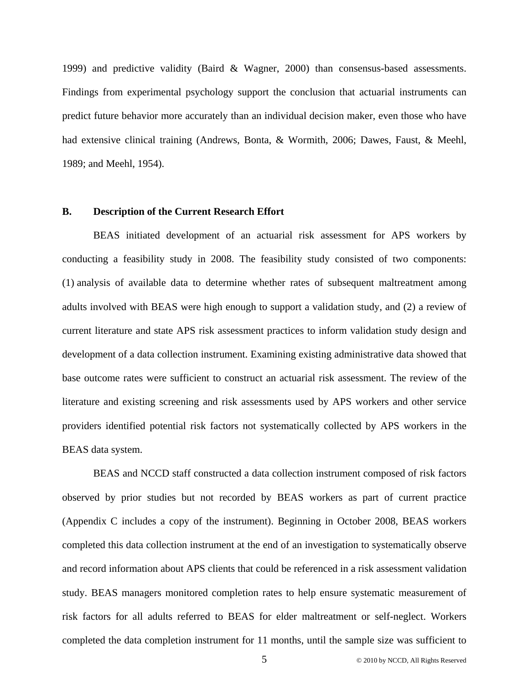1999) and predictive validity (Baird & Wagner, 2000) than consensus-based assessments. Findings from experimental psychology support the conclusion that actuarial instruments can predict future behavior more accurately than an individual decision maker, even those who have had extensive clinical training (Andrews, Bonta, & Wormith, 2006; Dawes, Faust, & Meehl, 1989; and Meehl, 1954).

#### **B. Description of the Current Research Effort**

 BEAS initiated development of an actuarial risk assessment for APS workers by conducting a feasibility study in 2008. The feasibility study consisted of two components: (1) analysis of available data to determine whether rates of subsequent maltreatment among adults involved with BEAS were high enough to support a validation study, and (2) a review of current literature and state APS risk assessment practices to inform validation study design and development of a data collection instrument. Examining existing administrative data showed that base outcome rates were sufficient to construct an actuarial risk assessment. The review of the literature and existing screening and risk assessments used by APS workers and other service providers identified potential risk factors not systematically collected by APS workers in the BEAS data system.

 BEAS and NCCD staff constructed a data collection instrument composed of risk factors observed by prior studies but not recorded by BEAS workers as part of current practice (Appendix C includes a copy of the instrument). Beginning in October 2008, BEAS workers completed this data collection instrument at the end of an investigation to systematically observe and record information about APS clients that could be referenced in a risk assessment validation study. BEAS managers monitored completion rates to help ensure systematic measurement of risk factors for all adults referred to BEAS for elder maltreatment or self-neglect. Workers completed the data completion instrument for 11 months, until the sample size was sufficient to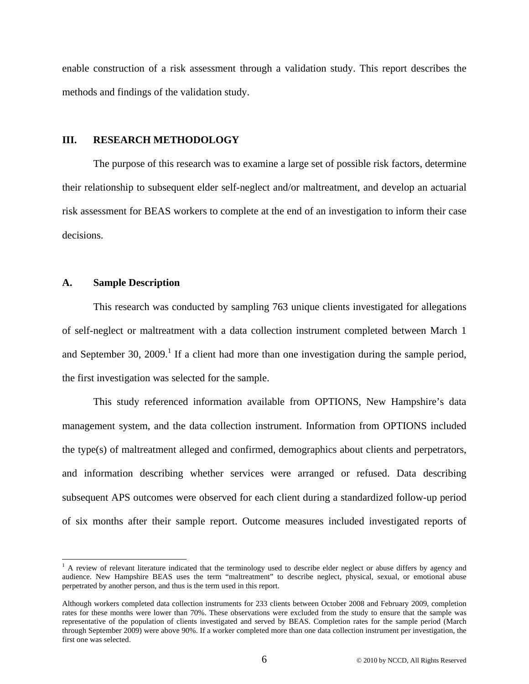enable construction of a risk assessment through a validation study. This report describes the methods and findings of the validation study.

#### **III. RESEARCH METHODOLOGY**

 The purpose of this research was to examine a large set of possible risk factors, determine their relationship to subsequent elder self-neglect and/or maltreatment, and develop an actuarial risk assessment for BEAS workers to complete at the end of an investigation to inform their case decisions.

#### **A. Sample Description**

l

 This research was conducted by sampling 763 unique clients investigated for allegations of self-neglect or maltreatment with a data collection instrument completed between March 1 and September 30, 2009.<sup>1</sup> If a client had more than one investigation during the sample period, the first investigation was selected for the sample.

This study referenced information available from OPTIONS, New Hampshire's data management system, and the data collection instrument. Information from OPTIONS included the type(s) of maltreatment alleged and confirmed, demographics about clients and perpetrators, and information describing whether services were arranged or refused. Data describing subsequent APS outcomes were observed for each client during a standardized follow-up period of six months after their sample report. Outcome measures included investigated reports of

<sup>&</sup>lt;sup>1</sup> A review of relevant literature indicated that the terminology used to describe elder neglect or abuse differs by agency and audience. New Hampshire BEAS uses the term "maltreatment" to describe neglect, physical, sexual, or emotional abuse perpetrated by another person, and thus is the term used in this report.

Although workers completed data collection instruments for 233 clients between October 2008 and February 2009, completion rates for these months were lower than 70%. These observations were excluded from the study to ensure that the sample was representative of the population of clients investigated and served by BEAS. Completion rates for the sample period (March through September 2009) were above 90%. If a worker completed more than one data collection instrument per investigation, the first one was selected.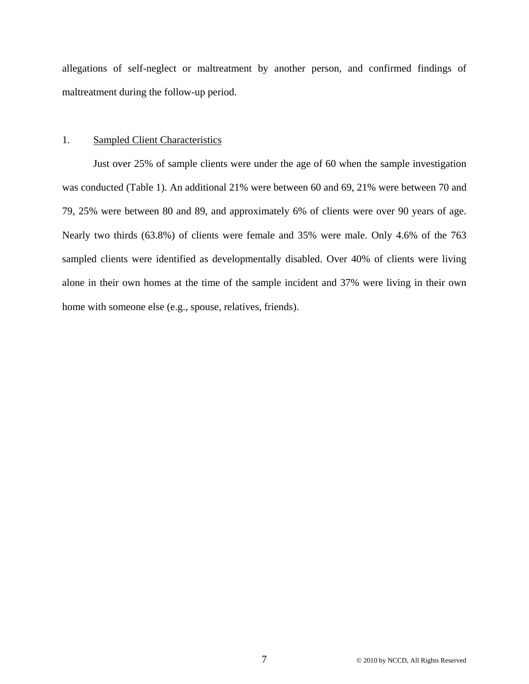allegations of self-neglect or maltreatment by another person, and confirmed findings of maltreatment during the follow-up period.

#### 1. Sampled Client Characteristics

 Just over 25% of sample clients were under the age of 60 when the sample investigation was conducted (Table 1). An additional 21% were between 60 and 69, 21% were between 70 and 79, 25% were between 80 and 89, and approximately 6% of clients were over 90 years of age. Nearly two thirds (63.8%) of clients were female and 35% were male. Only 4.6% of the 763 sampled clients were identified as developmentally disabled. Over 40% of clients were living alone in their own homes at the time of the sample incident and 37% were living in their own home with someone else (e.g., spouse, relatives, friends).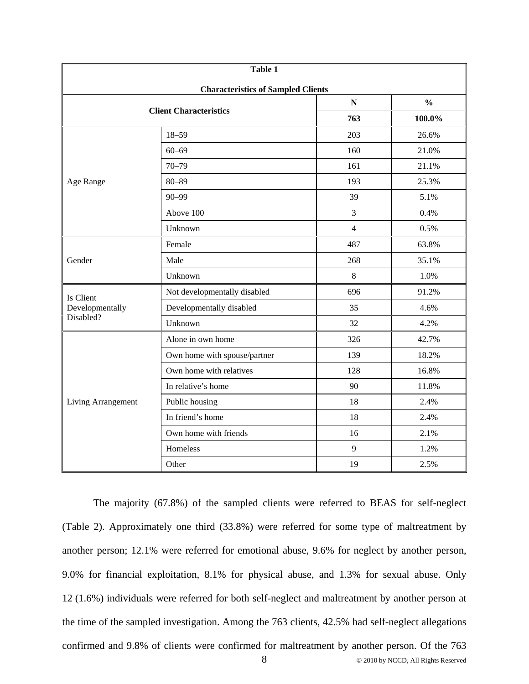|                    | <b>Table 1</b>                            |                |               |  |  |  |  |
|--------------------|-------------------------------------------|----------------|---------------|--|--|--|--|
|                    | <b>Characteristics of Sampled Clients</b> |                |               |  |  |  |  |
|                    |                                           | ${\bf N}$      | $\frac{0}{0}$ |  |  |  |  |
|                    | <b>Client Characteristics</b>             | 763            | 100.0%        |  |  |  |  |
|                    | $18 - 59$                                 | 203            | 26.6%         |  |  |  |  |
|                    | $60 - 69$                                 | 160            | 21.0%         |  |  |  |  |
|                    | $70 - 79$                                 | 161            | 21.1%         |  |  |  |  |
| Age Range          | $80 - 89$                                 | 193            | 25.3%         |  |  |  |  |
|                    | $90 - 99$                                 | 39             | 5.1%          |  |  |  |  |
|                    | Above 100                                 | 3              | 0.4%          |  |  |  |  |
|                    | Unknown                                   | $\overline{4}$ | 0.5%          |  |  |  |  |
|                    | Female                                    | 487            | 63.8%         |  |  |  |  |
| Gender             | Male                                      | 268            | 35.1%         |  |  |  |  |
|                    | Unknown                                   | 8              | 1.0%          |  |  |  |  |
| Is Client          | Not developmentally disabled              | 696            | 91.2%         |  |  |  |  |
| Developmentally    | Developmentally disabled                  | 35             | 4.6%          |  |  |  |  |
| Disabled?          | Unknown                                   | 32             | 4.2%          |  |  |  |  |
|                    | Alone in own home                         | 326            | 42.7%         |  |  |  |  |
|                    | Own home with spouse/partner              | 139            | 18.2%         |  |  |  |  |
|                    | Own home with relatives                   | 128            | 16.8%         |  |  |  |  |
|                    | In relative's home                        | 90             | 11.8%         |  |  |  |  |
| Living Arrangement | Public housing                            | 18             | 2.4%          |  |  |  |  |
|                    | In friend's home                          | 18             | 2.4%          |  |  |  |  |
|                    | Own home with friends                     | 16             | 2.1%          |  |  |  |  |
|                    | Homeless                                  | 9              | 1.2%          |  |  |  |  |
|                    | Other                                     | 19             | 2.5%          |  |  |  |  |

The majority (67.8%) of the sampled clients were referred to BEAS for self-neglect (Table 2). Approximately one third (33.8%) were referred for some type of maltreatment by another person; 12.1% were referred for emotional abuse, 9.6% for neglect by another person, 9.0% for financial exploitation, 8.1% for physical abuse, and 1.3% for sexual abuse. Only 12 (1.6%) individuals were referred for both self-neglect and maltreatment by another person at the time of the sampled investigation. Among the 763 clients, 42.5% had self-neglect allegations confirmed and 9.8% of clients were confirmed for maltreatment by another person. Of the 763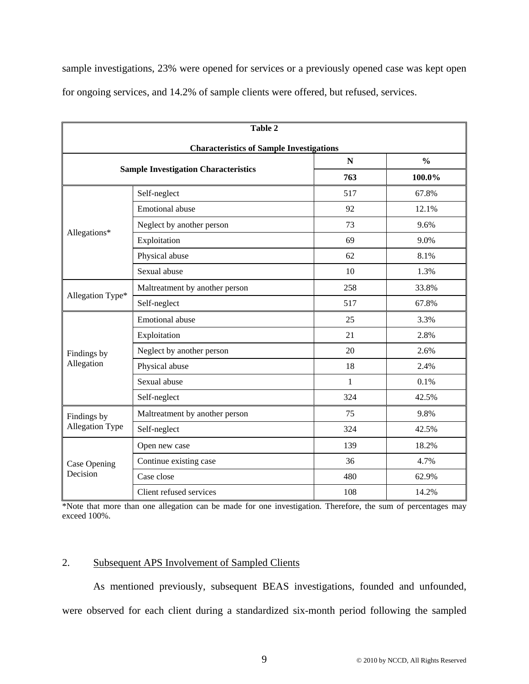sample investigations, 23% were opened for services or a previously opened case was kept open for ongoing services, and 14.2% of sample clients were offered, but refused, services.

|                  | <b>Table 2</b><br><b>Characteristics of Sample Investigations</b> |              |               |  |  |  |  |
|------------------|-------------------------------------------------------------------|--------------|---------------|--|--|--|--|
|                  |                                                                   |              |               |  |  |  |  |
|                  | <b>Sample Investigation Characteristics</b>                       | ${\bf N}$    | $\frac{0}{0}$ |  |  |  |  |
|                  |                                                                   | 763          | 100.0%        |  |  |  |  |
|                  | Self-neglect                                                      | 517          | 67.8%         |  |  |  |  |
|                  | <b>Emotional</b> abuse                                            | 92           | 12.1%         |  |  |  |  |
| Allegations*     | Neglect by another person                                         | 73           | 9.6%          |  |  |  |  |
|                  | Exploitation                                                      | 69           | 9.0%          |  |  |  |  |
|                  | Physical abuse                                                    | 62           | 8.1%          |  |  |  |  |
|                  | Sexual abuse                                                      | 10           | 1.3%          |  |  |  |  |
|                  | Maltreatment by another person                                    | 258          | 33.8%         |  |  |  |  |
| Allegation Type* | Self-neglect                                                      | 517          | 67.8%         |  |  |  |  |
|                  | <b>Emotional</b> abuse                                            | 25           | 3.3%          |  |  |  |  |
|                  | Exploitation                                                      | 21           | 2.8%          |  |  |  |  |
| Findings by      | Neglect by another person                                         | 20           | 2.6%          |  |  |  |  |
| Allegation       | Physical abuse                                                    | 18           | 2.4%          |  |  |  |  |
|                  | Sexual abuse                                                      | $\mathbf{1}$ | 0.1%          |  |  |  |  |
|                  | Self-neglect                                                      | 324          | 42.5%         |  |  |  |  |
| Findings by      | Maltreatment by another person                                    | 75           | 9.8%          |  |  |  |  |
| Allegation Type  | Self-neglect                                                      | 324          | 42.5%         |  |  |  |  |
|                  | Open new case                                                     | 139          | 18.2%         |  |  |  |  |
| Case Opening     | Continue existing case                                            | 36           | 4.7%          |  |  |  |  |
| Decision         | Case close                                                        | 480          | 62.9%         |  |  |  |  |
|                  | Client refused services                                           | 108          | 14.2%         |  |  |  |  |

\*Note that more than one allegation can be made for one investigation. Therefore, the sum of percentages may exceed 100%.

# 2. Subsequent APS Involvement of Sampled Clients

As mentioned previously, subsequent BEAS investigations, founded and unfounded, were observed for each client during a standardized six-month period following the sampled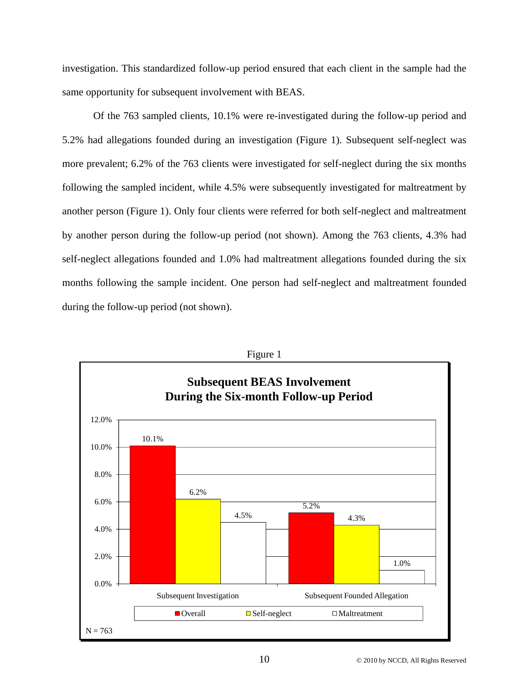investigation. This standardized follow-up period ensured that each client in the sample had the same opportunity for subsequent involvement with BEAS.

Of the 763 sampled clients, 10.1% were re-investigated during the follow-up period and 5.2% had allegations founded during an investigation (Figure 1). Subsequent self-neglect was more prevalent; 6.2% of the 763 clients were investigated for self-neglect during the six months following the sampled incident, while 4.5% were subsequently investigated for maltreatment by another person (Figure 1). Only four clients were referred for both self-neglect and maltreatment by another person during the follow-up period (not shown). Among the 763 clients, 4.3% had self-neglect allegations founded and 1.0% had maltreatment allegations founded during the six months following the sample incident. One person had self-neglect and maltreatment founded during the follow-up period (not shown).

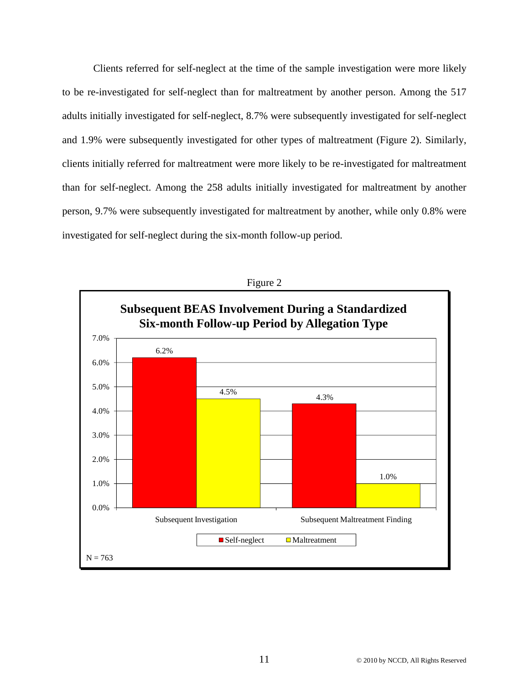Clients referred for self-neglect at the time of the sample investigation were more likely to be re-investigated for self-neglect than for maltreatment by another person. Among the 517 adults initially investigated for self-neglect, 8.7% were subsequently investigated for self-neglect and 1.9% were subsequently investigated for other types of maltreatment (Figure 2). Similarly, clients initially referred for maltreatment were more likely to be re-investigated for maltreatment than for self-neglect. Among the 258 adults initially investigated for maltreatment by another person, 9.7% were subsequently investigated for maltreatment by another, while only 0.8% were investigated for self-neglect during the six-month follow-up period.



Figure 2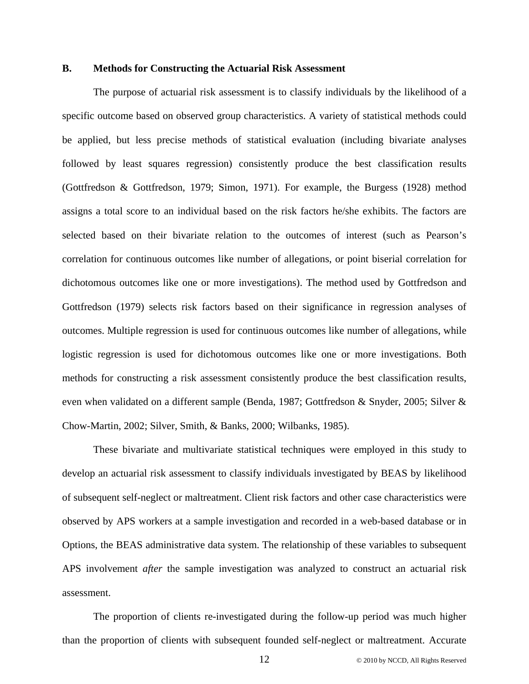#### **B. Methods for Constructing the Actuarial Risk Assessment**

 The purpose of actuarial risk assessment is to classify individuals by the likelihood of a specific outcome based on observed group characteristics. A variety of statistical methods could be applied, but less precise methods of statistical evaluation (including bivariate analyses followed by least squares regression) consistently produce the best classification results (Gottfredson & Gottfredson, 1979; Simon, 1971). For example, the Burgess (1928) method assigns a total score to an individual based on the risk factors he/she exhibits. The factors are selected based on their bivariate relation to the outcomes of interest (such as Pearson's correlation for continuous outcomes like number of allegations, or point biserial correlation for dichotomous outcomes like one or more investigations). The method used by Gottfredson and Gottfredson (1979) selects risk factors based on their significance in regression analyses of outcomes. Multiple regression is used for continuous outcomes like number of allegations, while logistic regression is used for dichotomous outcomes like one or more investigations. Both methods for constructing a risk assessment consistently produce the best classification results, even when validated on a different sample (Benda, 1987; Gottfredson & Snyder, 2005; Silver & Chow-Martin, 2002; Silver, Smith, & Banks, 2000; Wilbanks, 1985).

These bivariate and multivariate statistical techniques were employed in this study to develop an actuarial risk assessment to classify individuals investigated by BEAS by likelihood of subsequent self-neglect or maltreatment. Client risk factors and other case characteristics were observed by APS workers at a sample investigation and recorded in a web-based database or in Options, the BEAS administrative data system. The relationship of these variables to subsequent APS involvement *after* the sample investigation was analyzed to construct an actuarial risk assessment.

 The proportion of clients re-investigated during the follow-up period was much higher than the proportion of clients with subsequent founded self-neglect or maltreatment. Accurate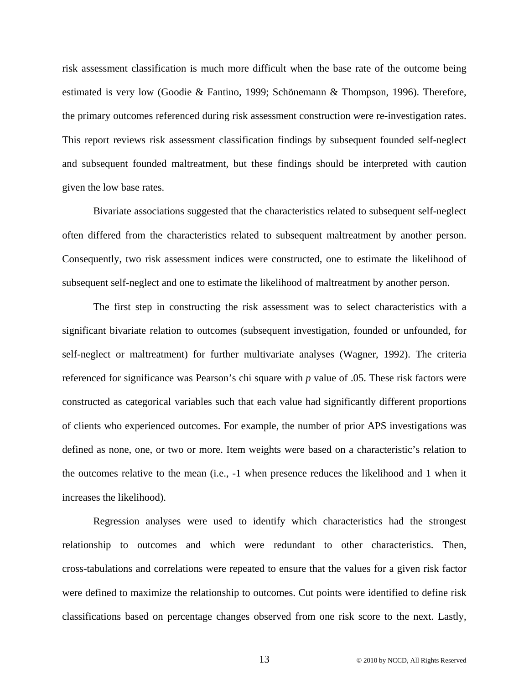risk assessment classification is much more difficult when the base rate of the outcome being estimated is very low (Goodie & Fantino, 1999; Schönemann & Thompson, 1996). Therefore, the primary outcomes referenced during risk assessment construction were re-investigation rates. This report reviews risk assessment classification findings by subsequent founded self-neglect and subsequent founded maltreatment, but these findings should be interpreted with caution given the low base rates.

 Bivariate associations suggested that the characteristics related to subsequent self-neglect often differed from the characteristics related to subsequent maltreatment by another person. Consequently, two risk assessment indices were constructed, one to estimate the likelihood of subsequent self-neglect and one to estimate the likelihood of maltreatment by another person.

 The first step in constructing the risk assessment was to select characteristics with a significant bivariate relation to outcomes (subsequent investigation, founded or unfounded, for self-neglect or maltreatment) for further multivariate analyses (Wagner, 1992). The criteria referenced for significance was Pearson's chi square with *p* value of .05. These risk factors were constructed as categorical variables such that each value had significantly different proportions of clients who experienced outcomes. For example, the number of prior APS investigations was defined as none, one, or two or more. Item weights were based on a characteristic's relation to the outcomes relative to the mean (i.e., -1 when presence reduces the likelihood and 1 when it increases the likelihood).

 Regression analyses were used to identify which characteristics had the strongest relationship to outcomes and which were redundant to other characteristics. Then, cross-tabulations and correlations were repeated to ensure that the values for a given risk factor were defined to maximize the relationship to outcomes. Cut points were identified to define risk classifications based on percentage changes observed from one risk score to the next. Lastly,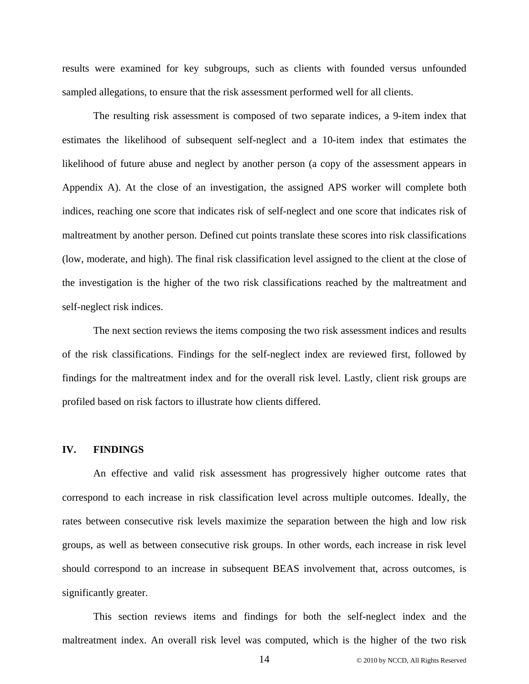results were examined for key subgroups, such as clients with founded versus unfounded sampled allegations, to ensure that the risk assessment performed well for all clients.

 The resulting risk assessment is composed of two separate indices, a 9-item index that estimates the likelihood of subsequent self-neglect and a 10-item index that estimates the likelihood of future abuse and neglect by another person (a copy of the assessment appears in Appendix A). At the close of an investigation, the assigned APS worker will complete both indices, reaching one score that indicates risk of self-neglect and one score that indicates risk of maltreatment by another person. Defined cut points translate these scores into risk classifications (low, moderate, and high). The final risk classification level assigned to the client at the close of the investigation is the higher of the two risk classifications reached by the maltreatment and self-neglect risk indices.

 The next section reviews the items composing the two risk assessment indices and results of the risk classifications. Findings for the self-neglect index are reviewed first, followed by findings for the maltreatment index and for the overall risk level. Lastly, client risk groups are profiled based on risk factors to illustrate how clients differed.

#### **IV. FINDINGS**

 An effective and valid risk assessment has progressively higher outcome rates that correspond to each increase in risk classification level across multiple outcomes. Ideally, the rates between consecutive risk levels maximize the separation between the high and low risk groups, as well as between consecutive risk groups. In other words, each increase in risk level should correspond to an increase in subsequent BEAS involvement that, across outcomes, is significantly greater.

 This section reviews items and findings for both the self-neglect index and the maltreatment index. An overall risk level was computed, which is the higher of the two risk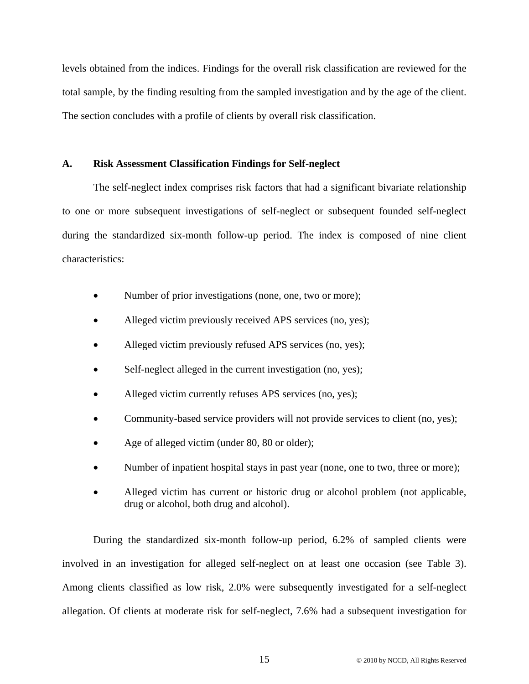levels obtained from the indices. Findings for the overall risk classification are reviewed for the total sample, by the finding resulting from the sampled investigation and by the age of the client. The section concludes with a profile of clients by overall risk classification.

### **A. Risk Assessment Classification Findings for Self-neglect**

 The self-neglect index comprises risk factors that had a significant bivariate relationship to one or more subsequent investigations of self-neglect or subsequent founded self-neglect during the standardized six-month follow-up period. The index is composed of nine client characteristics:

- Number of prior investigations (none, one, two or more);
- Alleged victim previously received APS services (no, yes);
- Alleged victim previously refused APS services (no, yes);
- Self-neglect alleged in the current investigation (no, yes);
- Alleged victim currently refuses APS services (no, yes);
- Community-based service providers will not provide services to client (no, yes);
- Age of alleged victim (under 80, 80 or older);
- Number of inpatient hospital stays in past year (none, one to two, three or more);
- Alleged victim has current or historic drug or alcohol problem (not applicable, drug or alcohol, both drug and alcohol).

 During the standardized six-month follow-up period, 6.2% of sampled clients were involved in an investigation for alleged self-neglect on at least one occasion (see Table 3). Among clients classified as low risk, 2.0% were subsequently investigated for a self-neglect allegation. Of clients at moderate risk for self-neglect, 7.6% had a subsequent investigation for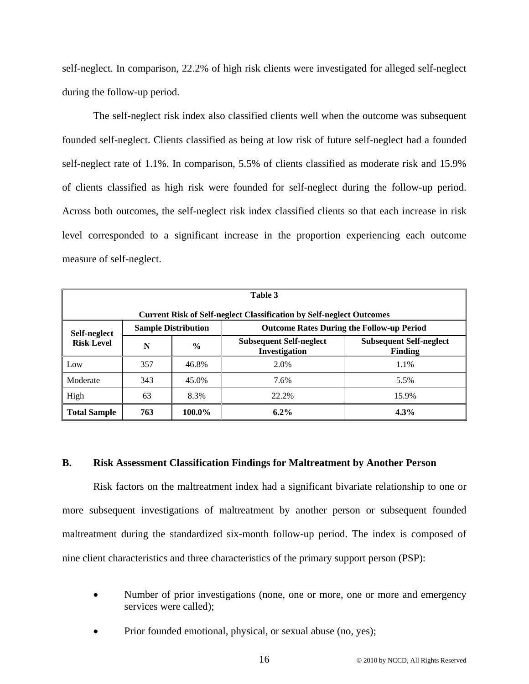self-neglect. In comparison, 22.2% of high risk clients were investigated for alleged self-neglect during the follow-up period.

 The self-neglect risk index also classified clients well when the outcome was subsequent founded self-neglect. Clients classified as being at low risk of future self-neglect had a founded self-neglect rate of 1.1%. In comparison, 5.5% of clients classified as moderate risk and 15.9% of clients classified as high risk were founded for self-neglect during the follow-up period. Across both outcomes, the self-neglect risk index classified clients so that each increase in risk level corresponded to a significant increase in the proportion experiencing each outcome measure of self-neglect.

| Table 3             |     |                            |                                                                             |                                                  |  |  |  |  |
|---------------------|-----|----------------------------|-----------------------------------------------------------------------------|--------------------------------------------------|--|--|--|--|
|                     |     |                            | <b>Current Risk of Self-neglect Classification by Self-neglect Outcomes</b> |                                                  |  |  |  |  |
| Self-neglect        |     | <b>Sample Distribution</b> | <b>Outcome Rates During the Follow-up Period</b>                            |                                                  |  |  |  |  |
| <b>Risk Level</b>   | N   | $\frac{6}{9}$              | <b>Subsequent Self-neglect</b><br>Investigation                             | <b>Subsequent Self-neglect</b><br><b>Finding</b> |  |  |  |  |
| Low                 | 357 | 46.8%                      | 2.0%                                                                        | 1.1%                                             |  |  |  |  |
| Moderate            | 343 | 45.0%                      | 7.6%                                                                        | 5.5%                                             |  |  |  |  |
| High                | 63  | 8.3%                       | 22.2%                                                                       | 15.9%                                            |  |  |  |  |
| <b>Total Sample</b> | 763 | 100.0%                     | $6.2\%$                                                                     | 4.3%                                             |  |  |  |  |

# **B. Risk Assessment Classification Findings for Maltreatment by Another Person**

 Risk factors on the maltreatment index had a significant bivariate relationship to one or more subsequent investigations of maltreatment by another person or subsequent founded maltreatment during the standardized six-month follow-up period. The index is composed of nine client characteristics and three characteristics of the primary support person (PSP):

- Number of prior investigations (none, one or more, one or more and emergency services were called);
- Prior founded emotional, physical, or sexual abuse (no, yes);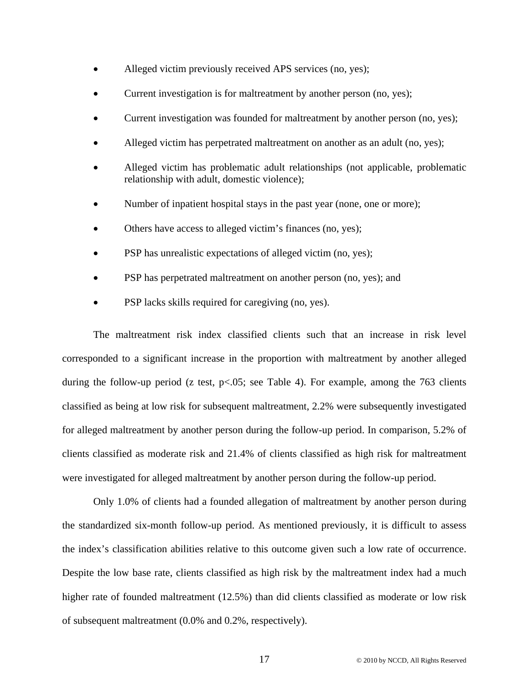- Alleged victim previously received APS services (no, yes);
- Current investigation is for maltreatment by another person (no, yes);
- Current investigation was founded for maltreatment by another person (no, yes);
- Alleged victim has perpetrated maltreatment on another as an adult (no, yes);
- Alleged victim has problematic adult relationships (not applicable, problematic relationship with adult, domestic violence);
- Number of inpatient hospital stays in the past year (none, one or more);
- Others have access to alleged victim's finances (no, yes);
- PSP has unrealistic expectations of alleged victim (no, yes);
- PSP has perpetrated maltreatment on another person (no, yes); and
- PSP lacks skills required for caregiving (no, yes).

 The maltreatment risk index classified clients such that an increase in risk level corresponded to a significant increase in the proportion with maltreatment by another alleged during the follow-up period (z test,  $p < .05$ ; see Table 4). For example, among the 763 clients classified as being at low risk for subsequent maltreatment, 2.2% were subsequently investigated for alleged maltreatment by another person during the follow-up period. In comparison, 5.2% of clients classified as moderate risk and 21.4% of clients classified as high risk for maltreatment were investigated for alleged maltreatment by another person during the follow-up period.

Only 1.0% of clients had a founded allegation of maltreatment by another person during the standardized six-month follow-up period. As mentioned previously, it is difficult to assess the index's classification abilities relative to this outcome given such a low rate of occurrence. Despite the low base rate, clients classified as high risk by the maltreatment index had a much higher rate of founded maltreatment (12.5%) than did clients classified as moderate or low risk of subsequent maltreatment (0.0% and 0.2%, respectively).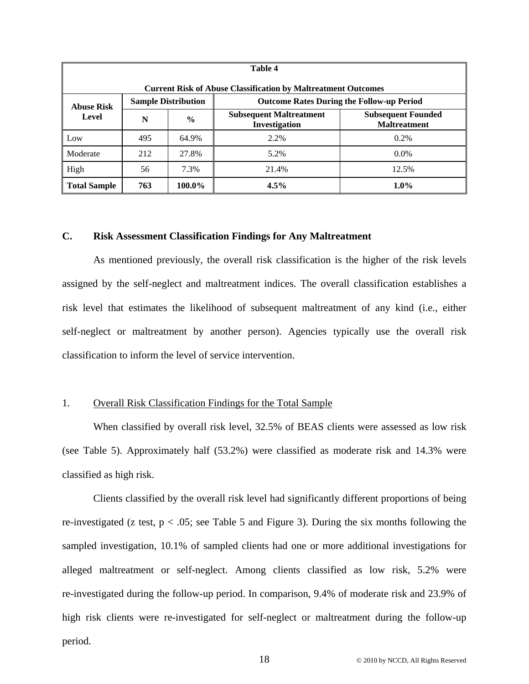| Table 4             |                                                                      |               |                                                        |                                                  |  |  |  |  |  |  |
|---------------------|----------------------------------------------------------------------|---------------|--------------------------------------------------------|--------------------------------------------------|--|--|--|--|--|--|
|                     | <b>Current Risk of Abuse Classification by Maltreatment Outcomes</b> |               |                                                        |                                                  |  |  |  |  |  |  |
| <b>Abuse Risk</b>   | <b>Sample Distribution</b>                                           |               | <b>Outcome Rates During the Follow-up Period</b>       |                                                  |  |  |  |  |  |  |
| Level               | N                                                                    | $\frac{6}{9}$ | <b>Subsequent Maltreatment</b><br><b>Investigation</b> | <b>Subsequent Founded</b><br><b>Maltreatment</b> |  |  |  |  |  |  |
| Low                 | 495                                                                  | 64.9%         | 2.2%                                                   | 0.2%                                             |  |  |  |  |  |  |
| Moderate            | 212                                                                  | 27.8%         | 5.2%                                                   | $0.0\%$                                          |  |  |  |  |  |  |
| High                | 56                                                                   | 7.3%          | 21.4%                                                  | 12.5%                                            |  |  |  |  |  |  |
| <b>Total Sample</b> | 763                                                                  | 100.0%        | 4.5%                                                   | $1.0\%$                                          |  |  |  |  |  |  |

## **C. Risk Assessment Classification Findings for Any Maltreatment**

 As mentioned previously, the overall risk classification is the higher of the risk levels assigned by the self-neglect and maltreatment indices. The overall classification establishes a risk level that estimates the likelihood of subsequent maltreatment of any kind (i.e., either self-neglect or maltreatment by another person). Agencies typically use the overall risk classification to inform the level of service intervention.

## 1. Overall Risk Classification Findings for the Total Sample

 When classified by overall risk level, 32.5% of BEAS clients were assessed as low risk (see Table 5). Approximately half (53.2%) were classified as moderate risk and 14.3% were classified as high risk.

 Clients classified by the overall risk level had significantly different proportions of being re-investigated (z test,  $p < .05$ ; see Table 5 and Figure 3). During the six months following the sampled investigation, 10.1% of sampled clients had one or more additional investigations for alleged maltreatment or self-neglect. Among clients classified as low risk, 5.2% were re-investigated during the follow-up period. In comparison, 9.4% of moderate risk and 23.9% of high risk clients were re-investigated for self-neglect or maltreatment during the follow-up period.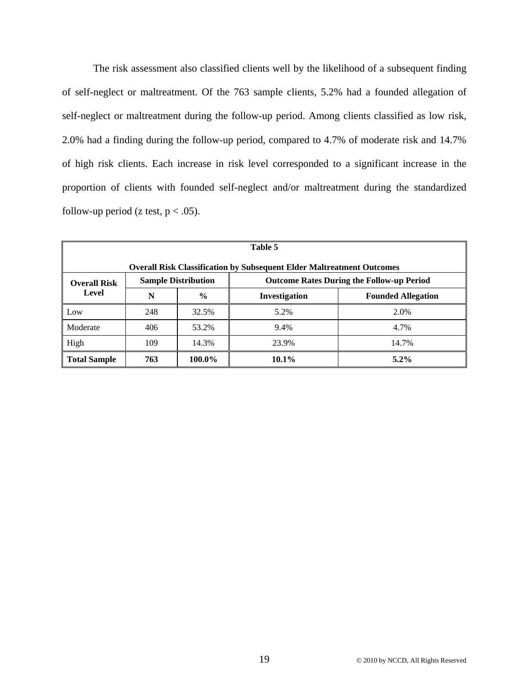The risk assessment also classified clients well by the likelihood of a subsequent finding of self-neglect or maltreatment. Of the 763 sample clients, 5.2% had a founded allegation of self-neglect or maltreatment during the follow-up period. Among clients classified as low risk, 2.0% had a finding during the follow-up period, compared to 4.7% of moderate risk and 14.7% of high risk clients. Each increase in risk level corresponded to a significant increase in the proportion of clients with founded self-neglect and/or maltreatment during the standardized follow-up period (z test,  $p < .05$ ).

| Table 5             |                                                                              |                            |                                                  |                           |  |  |  |  |  |  |
|---------------------|------------------------------------------------------------------------------|----------------------------|--------------------------------------------------|---------------------------|--|--|--|--|--|--|
|                     | <b>Overall Risk Classification by Subsequent Elder Maltreatment Outcomes</b> |                            |                                                  |                           |  |  |  |  |  |  |
| <b>Overall Risk</b> |                                                                              | <b>Sample Distribution</b> | <b>Outcome Rates During the Follow-up Period</b> |                           |  |  |  |  |  |  |
| Level               | N                                                                            | $\frac{0}{0}$              | <b>Investigation</b>                             | <b>Founded Allegation</b> |  |  |  |  |  |  |
| Low                 | 248                                                                          | 32.5%                      | 5.2%                                             | 2.0%                      |  |  |  |  |  |  |
| Moderate            | 406                                                                          | 53.2%                      | 9.4%                                             | 4.7%                      |  |  |  |  |  |  |
| High                | 109                                                                          | 14.3%                      | 23.9%                                            | 14.7%                     |  |  |  |  |  |  |
| <b>Total Sample</b> | 763                                                                          | 100.0%                     | $10.1\%$                                         | $5.2\%$                   |  |  |  |  |  |  |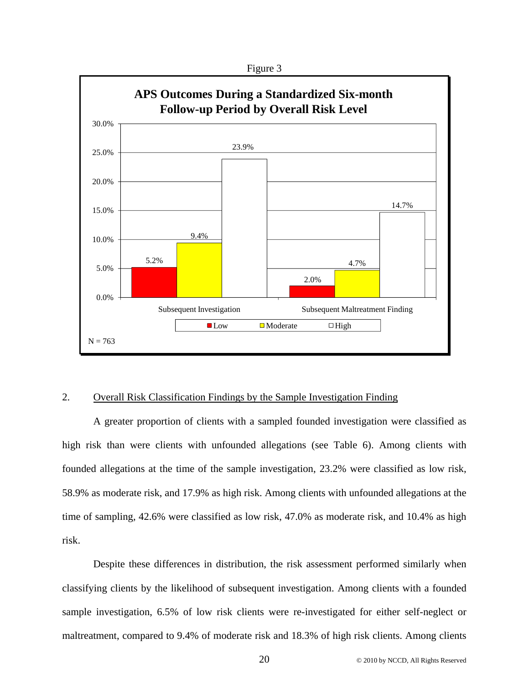

#### 2. Overall Risk Classification Findings by the Sample Investigation Finding

 A greater proportion of clients with a sampled founded investigation were classified as high risk than were clients with unfounded allegations (see Table 6). Among clients with founded allegations at the time of the sample investigation, 23.2% were classified as low risk, 58.9% as moderate risk, and 17.9% as high risk. Among clients with unfounded allegations at the time of sampling, 42.6% were classified as low risk, 47.0% as moderate risk, and 10.4% as high risk.

 Despite these differences in distribution, the risk assessment performed similarly when classifying clients by the likelihood of subsequent investigation. Among clients with a founded sample investigation, 6.5% of low risk clients were re-investigated for either self-neglect or maltreatment, compared to 9.4% of moderate risk and 18.3% of high risk clients. Among clients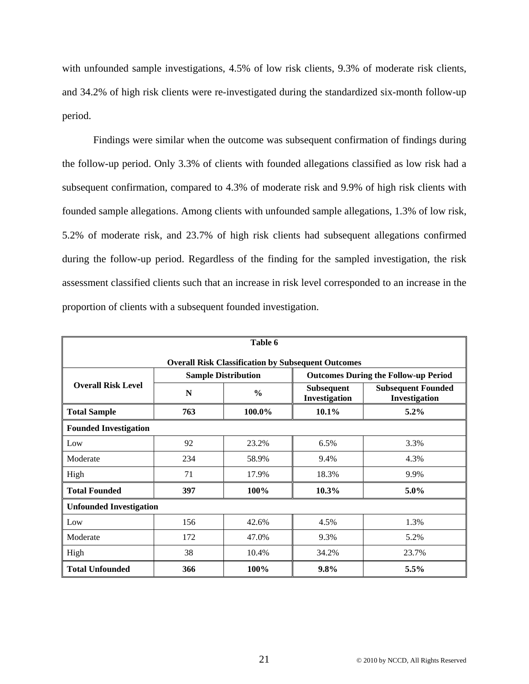with unfounded sample investigations, 4.5% of low risk clients, 9.3% of moderate risk clients, and 34.2% of high risk clients were re-investigated during the standardized six-month follow-up period.

 Findings were similar when the outcome was subsequent confirmation of findings during the follow-up period. Only 3.3% of clients with founded allegations classified as low risk had a subsequent confirmation, compared to 4.3% of moderate risk and 9.9% of high risk clients with founded sample allegations. Among clients with unfounded sample allegations, 1.3% of low risk, 5.2% of moderate risk, and 23.7% of high risk clients had subsequent allegations confirmed during the follow-up period. Regardless of the finding for the sampled investigation, the risk assessment classified clients such that an increase in risk level corresponded to an increase in the proportion of clients with a subsequent founded investigation.

| Table 6                                                   |                            |                 |                                    |                                             |  |  |  |  |
|-----------------------------------------------------------|----------------------------|-----------------|------------------------------------|---------------------------------------------|--|--|--|--|
| <b>Overall Risk Classification by Subsequent Outcomes</b> |                            |                 |                                    |                                             |  |  |  |  |
|                                                           | <b>Sample Distribution</b> |                 |                                    | <b>Outcomes During the Follow-up Period</b> |  |  |  |  |
| <b>Overall Risk Level</b>                                 | N                          | $\frac{0}{0}$   | <b>Subsequent</b><br>Investigation | <b>Subsequent Founded</b><br>Investigation  |  |  |  |  |
| <b>Total Sample</b>                                       | 763                        | 100.0%<br>10.1% |                                    | $5.2\%$                                     |  |  |  |  |
| <b>Founded Investigation</b>                              |                            |                 |                                    |                                             |  |  |  |  |
| Low                                                       | 92                         | 23.2%           | 6.5%                               | 3.3%                                        |  |  |  |  |
| Moderate                                                  | 234                        | 58.9%           | 9.4%                               | 4.3%                                        |  |  |  |  |
| High                                                      | 71                         | 17.9%           | 18.3%                              | 9.9%                                        |  |  |  |  |
| <b>Total Founded</b>                                      | 397                        | 100%            | 10.3%                              | 5.0%                                        |  |  |  |  |
| <b>Unfounded Investigation</b>                            |                            |                 |                                    |                                             |  |  |  |  |
| Low                                                       | 156                        | 42.6%           | 4.5%                               | 1.3%                                        |  |  |  |  |
| Moderate                                                  | 172                        | 47.0%           | 9.3%                               | 5.2%                                        |  |  |  |  |
| High                                                      | 38                         | 10.4%           | 34.2%                              | 23.7%                                       |  |  |  |  |
| <b>Total Unfounded</b><br>100%<br>366<br>$9.8\%$<br>5.5%  |                            |                 |                                    |                                             |  |  |  |  |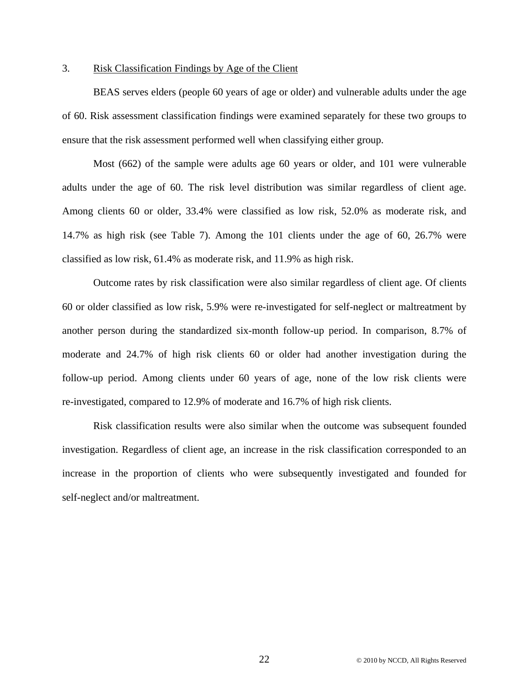## 3. Risk Classification Findings by Age of the Client

 BEAS serves elders (people 60 years of age or older) and vulnerable adults under the age of 60. Risk assessment classification findings were examined separately for these two groups to ensure that the risk assessment performed well when classifying either group.

 Most (662) of the sample were adults age 60 years or older, and 101 were vulnerable adults under the age of 60. The risk level distribution was similar regardless of client age. Among clients 60 or older, 33.4% were classified as low risk, 52.0% as moderate risk, and 14.7% as high risk (see Table 7). Among the 101 clients under the age of 60, 26.7% were classified as low risk, 61.4% as moderate risk, and 11.9% as high risk.

 Outcome rates by risk classification were also similar regardless of client age. Of clients 60 or older classified as low risk, 5.9% were re-investigated for self-neglect or maltreatment by another person during the standardized six-month follow-up period. In comparison, 8.7% of moderate and 24.7% of high risk clients 60 or older had another investigation during the follow-up period. Among clients under 60 years of age, none of the low risk clients were re-investigated, compared to 12.9% of moderate and 16.7% of high risk clients.

 Risk classification results were also similar when the outcome was subsequent founded investigation. Regardless of client age, an increase in the risk classification corresponded to an increase in the proportion of clients who were subsequently investigated and founded for self-neglect and/or maltreatment.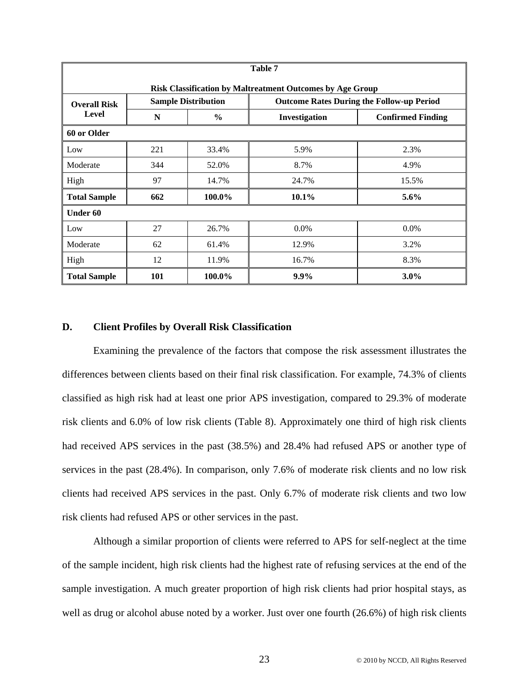| Table 7                                                   |             |                            |                                                  |                          |  |  |  |  |  |
|-----------------------------------------------------------|-------------|----------------------------|--------------------------------------------------|--------------------------|--|--|--|--|--|
| Risk Classification by Maltreatment Outcomes by Age Group |             |                            |                                                  |                          |  |  |  |  |  |
| <b>Overall Risk</b>                                       |             | <b>Sample Distribution</b> | <b>Outcome Rates During the Follow-up Period</b> |                          |  |  |  |  |  |
| Level                                                     | N           | $\frac{0}{0}$              | Investigation                                    | <b>Confirmed Finding</b> |  |  |  |  |  |
| 60 or Older                                               |             |                            |                                                  |                          |  |  |  |  |  |
| 221<br>33.4%<br>5.9%<br>2.3%<br>Low                       |             |                            |                                                  |                          |  |  |  |  |  |
| Moderate                                                  | 344         | 52.0%                      | 8.7%                                             | 4.9%                     |  |  |  |  |  |
| High                                                      | 97<br>14.7% |                            | 24.7%                                            | 15.5%                    |  |  |  |  |  |
| <b>Total Sample</b>                                       | 662         | 100.0%                     | 10.1%                                            | 5.6%                     |  |  |  |  |  |
| Under 60                                                  |             |                            |                                                  |                          |  |  |  |  |  |
| Low                                                       | 27          | 26.7%                      | 0.0%                                             | 0.0%                     |  |  |  |  |  |
| Moderate                                                  | 62          | 61.4%                      | 12.9%                                            | 3.2%                     |  |  |  |  |  |
| High                                                      | 12          | 11.9%                      | 16.7%                                            | 8.3%                     |  |  |  |  |  |
| <b>Total Sample</b>                                       | 101         | 100.0%                     | $9.9\%$                                          | $3.0\%$                  |  |  |  |  |  |

### **D. Client Profiles by Overall Risk Classification**

 Examining the prevalence of the factors that compose the risk assessment illustrates the differences between clients based on their final risk classification. For example, 74.3% of clients classified as high risk had at least one prior APS investigation, compared to 29.3% of moderate risk clients and 6.0% of low risk clients (Table 8). Approximately one third of high risk clients had received APS services in the past (38.5%) and 28.4% had refused APS or another type of services in the past (28.4%). In comparison, only 7.6% of moderate risk clients and no low risk clients had received APS services in the past. Only 6.7% of moderate risk clients and two low risk clients had refused APS or other services in the past.

 Although a similar proportion of clients were referred to APS for self-neglect at the time of the sample incident, high risk clients had the highest rate of refusing services at the end of the sample investigation. A much greater proportion of high risk clients had prior hospital stays, as well as drug or alcohol abuse noted by a worker. Just over one fourth (26.6%) of high risk clients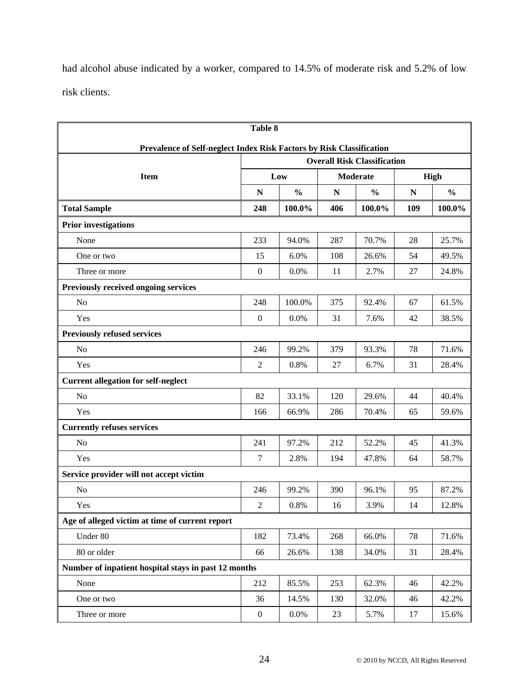had alcohol abuse indicated by a worker, compared to 14.5% of moderate risk and 5.2% of low risk clients.

| <b>Table 8</b>                                                       |                  |               |           |                                    |     |               |
|----------------------------------------------------------------------|------------------|---------------|-----------|------------------------------------|-----|---------------|
| Prevalence of Self-neglect Index Risk Factors by Risk Classification |                  |               |           |                                    |     |               |
|                                                                      |                  |               |           | <b>Overall Risk Classification</b> |     |               |
| <b>Item</b>                                                          |                  | Low           |           | Moderate                           |     | <b>High</b>   |
|                                                                      | N                | $\frac{0}{0}$ | ${\bf N}$ | $\frac{0}{0}$                      | N   | $\frac{0}{0}$ |
| <b>Total Sample</b>                                                  | 248              | $100.0\%$     | 406       | 100.0%                             | 109 | 100.0%        |
| <b>Prior investigations</b>                                          |                  |               |           |                                    |     |               |
| None                                                                 | 233              | 94.0%         | 287       | 70.7%                              | 28  | 25.7%         |
| One or two                                                           | 15               | 6.0%          | 108       | 26.6%                              | 54  | 49.5%         |
| Three or more                                                        | $\boldsymbol{0}$ | 0.0%          | 11        | 2.7%                               | 27  | 24.8%         |
| Previously received ongoing services                                 |                  |               |           |                                    |     |               |
| No                                                                   | 248              | 100.0%        | 375       | 92.4%                              | 67  | 61.5%         |
| Yes                                                                  | $\boldsymbol{0}$ | $0.0\%$       | 31        | 7.6%                               | 42  | 38.5%         |
| <b>Previously refused services</b>                                   |                  |               |           |                                    |     |               |
| No                                                                   | 246              | 99.2%         | 379       | 93.3%                              | 78  | 71.6%         |
| Yes                                                                  | $\overline{2}$   | 0.8%          | 27        | 6.7%                               | 31  | 28.4%         |
| <b>Current allegation for self-neglect</b>                           |                  |               |           |                                    |     |               |
| N <sub>o</sub>                                                       | 82               | 33.1%         | 120       | 29.6%                              | 44  | 40.4%         |
| Yes                                                                  | 166              | 66.9%         | 286       | 70.4%                              | 65  | 59.6%         |
| <b>Currently refuses services</b>                                    |                  |               |           |                                    |     |               |
| N <sub>o</sub>                                                       | 241              | 97.2%         | 212       | 52.2%                              | 45  | 41.3%         |
| Yes                                                                  | $\overline{7}$   | 2.8%          | 194       | 47.8%                              | 64  | 58.7%         |
| Service provider will not accept victim                              |                  |               |           |                                    |     |               |
| N <sub>o</sub>                                                       | 246              | 99.2%         | 390       | 96.1%                              | 95  | 87.2%         |
| Yes                                                                  | $\mathbf{2}$     | 0.8%          | 16        | 3.9%                               | 14  | 12.8%         |
| Age of alleged victim at time of current report                      |                  |               |           |                                    |     |               |
| Under 80                                                             | 182              | 73.4%         | 268       | 66.0%                              | 78  | 71.6%         |
| 80 or older                                                          | 66               | 26.6%         | 138       | 34.0%                              | 31  | 28.4%         |
| Number of inpatient hospital stays in past 12 months                 |                  |               |           |                                    |     |               |
| None                                                                 | 212              | 85.5%         | 253       | 62.3%                              | 46  | 42.2%         |
| One or two                                                           | 36               | 14.5%         | 130       | 32.0%                              | 46  | 42.2%         |
| Three or more                                                        | $\boldsymbol{0}$ | 0.0%          | 23        | 5.7%                               | 17  | 15.6%         |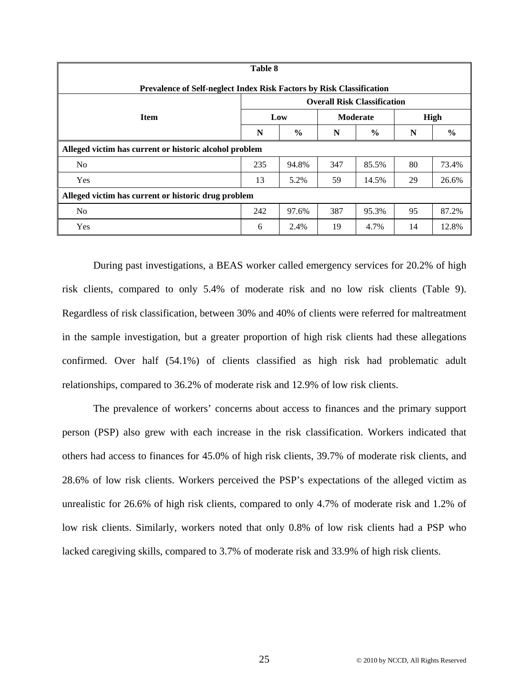| Table 8                                                              |     |               |     |                                    |    |               |  |
|----------------------------------------------------------------------|-----|---------------|-----|------------------------------------|----|---------------|--|
| Prevalence of Self-neglect Index Risk Factors by Risk Classification |     |               |     |                                    |    |               |  |
|                                                                      |     |               |     | <b>Overall Risk Classification</b> |    |               |  |
| <b>Item</b>                                                          |     | Low           |     | <b>Moderate</b><br>High            |    |               |  |
|                                                                      | N   | $\frac{0}{0}$ | N   | $\%$                               | N  | $\frac{6}{9}$ |  |
| Alleged victim has current or historic alcohol problem               |     |               |     |                                    |    |               |  |
| N <sub>o</sub>                                                       | 235 | 94.8%         | 347 | 85.5%                              | 80 | 73.4%         |  |
| Yes                                                                  | 13  | 5.2%          | 59  | 14.5%                              | 29 | 26.6%         |  |
| Alleged victim has current or historic drug problem                  |     |               |     |                                    |    |               |  |
| N <sub>0</sub>                                                       | 242 | 97.6%         | 387 | 95.3%                              | 95 | 87.2%         |  |
| Yes                                                                  | 6   | 2.4%          | 19  | 4.7%                               | 14 | 12.8%         |  |

 During past investigations, a BEAS worker called emergency services for 20.2% of high risk clients, compared to only 5.4% of moderate risk and no low risk clients (Table 9). Regardless of risk classification, between 30% and 40% of clients were referred for maltreatment in the sample investigation, but a greater proportion of high risk clients had these allegations confirmed. Over half (54.1%) of clients classified as high risk had problematic adult relationships, compared to 36.2% of moderate risk and 12.9% of low risk clients.

 The prevalence of workers' concerns about access to finances and the primary support person (PSP) also grew with each increase in the risk classification. Workers indicated that others had access to finances for 45.0% of high risk clients, 39.7% of moderate risk clients, and 28.6% of low risk clients. Workers perceived the PSP's expectations of the alleged victim as unrealistic for 26.6% of high risk clients, compared to only 4.7% of moderate risk and 1.2% of low risk clients. Similarly, workers noted that only 0.8% of low risk clients had a PSP who lacked caregiving skills, compared to 3.7% of moderate risk and 33.9% of high risk clients.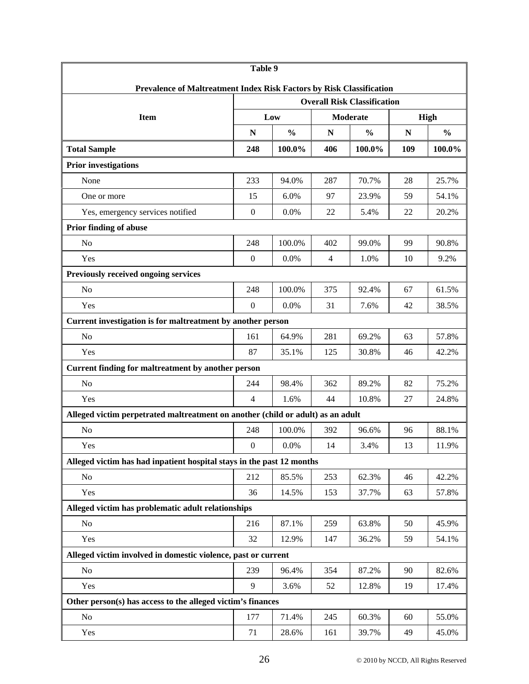| Table 9                                                                         |                  |               |                |                                    |     |               |  |
|---------------------------------------------------------------------------------|------------------|---------------|----------------|------------------------------------|-----|---------------|--|
| Prevalence of Maltreatment Index Risk Factors by Risk Classification            |                  |               |                |                                    |     |               |  |
|                                                                                 |                  |               |                | <b>Overall Risk Classification</b> |     |               |  |
| <b>Item</b>                                                                     |                  | Low           |                | <b>Moderate</b>                    |     | High          |  |
|                                                                                 | N                | $\frac{0}{0}$ | N              | $\frac{0}{0}$                      | N   | $\frac{0}{0}$ |  |
| <b>Total Sample</b>                                                             | 248              | 100.0%        | 406            | 100.0%                             | 109 | 100.0%        |  |
| <b>Prior investigations</b>                                                     |                  |               |                |                                    |     |               |  |
| None                                                                            | 233              | 94.0%         | 287            | 70.7%                              | 28  | 25.7%         |  |
| One or more                                                                     | 15               | 6.0%          | 97             | 23.9%                              | 59  | 54.1%         |  |
| Yes, emergency services notified                                                | $\boldsymbol{0}$ | 0.0%          | 22             | 5.4%                               | 22  | 20.2%         |  |
| <b>Prior finding of abuse</b>                                                   |                  |               |                |                                    |     |               |  |
| N <sub>0</sub>                                                                  | 248              | 100.0%        | 402            | 99.0%                              | 99  | 90.8%         |  |
| Yes                                                                             | $\boldsymbol{0}$ | 0.0%          | $\overline{4}$ | 1.0%                               | 10  | 9.2%          |  |
| Previously received ongoing services                                            |                  |               |                |                                    |     |               |  |
| N <sub>o</sub>                                                                  | 248              | 100.0%        | 375            | 92.4%                              | 67  | 61.5%         |  |
| Yes                                                                             | $\mathbf{0}$     | 0.0%          | 31             | 7.6%                               | 42  | 38.5%         |  |
| Current investigation is for maltreatment by another person                     |                  |               |                |                                    |     |               |  |
| N <sub>0</sub>                                                                  | 161              | 64.9%         | 281            | 69.2%                              | 63  | 57.8%         |  |
| Yes                                                                             | 87               | 35.1%         | 125            | 30.8%                              | 46  | 42.2%         |  |
| Current finding for maltreatment by another person                              |                  |               |                |                                    |     |               |  |
| N <sub>o</sub>                                                                  | 244              | 98.4%         | 362            | 89.2%                              | 82  | 75.2%         |  |
| Yes                                                                             | $\overline{4}$   | 1.6%          | 44             | 10.8%                              | 27  | 24.8%         |  |
| Alleged victim perpetrated maltreatment on another (child or adult) as an adult |                  |               |                |                                    |     |               |  |
| No                                                                              | 248              | 100.0%        | 392            | 96.6%                              | 96  | 88.1%         |  |
| Yes                                                                             | $\mathbf{0}$     | 0.0%          | 14             | 3.4%                               | 13  | 11.9%         |  |
| Alleged victim has had inpatient hospital stays in the past 12 months           |                  |               |                |                                    |     |               |  |
| No                                                                              | 212              | 85.5%         | 253            | 62.3%                              | 46  | 42.2%         |  |
| Yes                                                                             | 36               | 14.5%         | 153            | 37.7%                              | 63  | 57.8%         |  |
| Alleged victim has problematic adult relationships                              |                  |               |                |                                    |     |               |  |
| N <sub>0</sub>                                                                  | 216              | 87.1%         | 259            | 63.8%                              | 50  | 45.9%         |  |
| Yes                                                                             | 32               | 12.9%         | 147            | 36.2%                              | 59  | 54.1%         |  |
| Alleged victim involved in domestic violence, past or current                   |                  |               |                |                                    |     |               |  |
| N <sub>0</sub>                                                                  | 239              | 96.4%         | 354            | 87.2%                              | 90  | 82.6%         |  |
| Yes                                                                             | 9                | 3.6%          | 52             | 12.8%                              | 19  | 17.4%         |  |
| Other person(s) has access to the alleged victim's finances                     |                  |               |                |                                    |     |               |  |
| N <sub>o</sub>                                                                  | 177              | 71.4%         | 245            | 60.3%                              | 60  | 55.0%         |  |
| Yes                                                                             | 71               | 28.6%         | 161            | 39.7%                              | 49  | 45.0%         |  |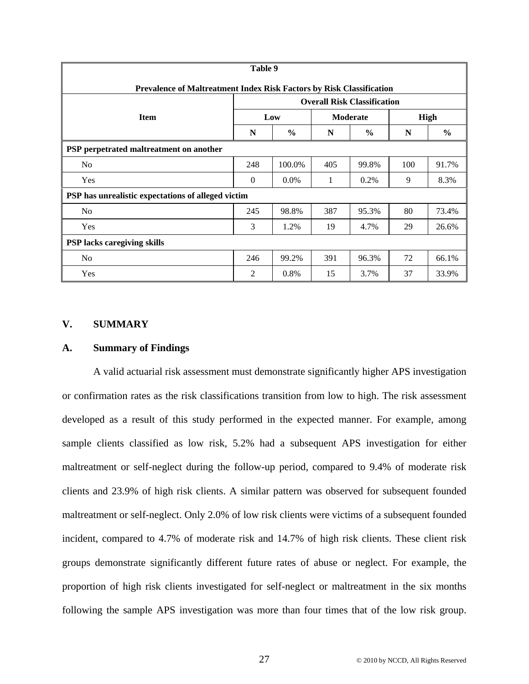|                                                                             | Table 9        |               |     |                                    |     |               |  |
|-----------------------------------------------------------------------------|----------------|---------------|-----|------------------------------------|-----|---------------|--|
| <b>Prevalence of Maltreatment Index Risk Factors by Risk Classification</b> |                |               |     |                                    |     |               |  |
|                                                                             |                |               |     | <b>Overall Risk Classification</b> |     |               |  |
| <b>Item</b>                                                                 |                | Low           |     | <b>Moderate</b>                    |     | <b>High</b>   |  |
|                                                                             | N              | $\frac{6}{6}$ | N   | $\frac{6}{9}$                      | N   | $\frac{0}{0}$ |  |
| PSP perpetrated maltreatment on another                                     |                |               |     |                                    |     |               |  |
| No                                                                          | 248            | 100.0%        | 405 | 99.8%                              | 100 | 91.7%         |  |
| Yes                                                                         | $\Omega$       | $0.0\%$       | 1   | 0.2%                               | 9   | 8.3%          |  |
| PSP has unrealistic expectations of alleged victim                          |                |               |     |                                    |     |               |  |
| No                                                                          | 245            | 98.8%         | 387 | 95.3%                              | 80  | 73.4%         |  |
| Yes                                                                         | 3              | 1.2%          | 19  | 4.7%                               | 29  | 26.6%         |  |
| <b>PSP lacks caregiving skills</b>                                          |                |               |     |                                    |     |               |  |
| N <sub>o</sub>                                                              | 246            | 99.2%         | 391 | 96.3%                              | 72  | 66.1%         |  |
| Yes                                                                         | $\overline{2}$ | 0.8%          | 15  | 3.7%                               | 37  | 33.9%         |  |

## **V. SUMMARY**

#### **A. Summary of Findings**

 A valid actuarial risk assessment must demonstrate significantly higher APS investigation or confirmation rates as the risk classifications transition from low to high. The risk assessment developed as a result of this study performed in the expected manner. For example, among sample clients classified as low risk, 5.2% had a subsequent APS investigation for either maltreatment or self-neglect during the follow-up period, compared to 9.4% of moderate risk clients and 23.9% of high risk clients. A similar pattern was observed for subsequent founded maltreatment or self-neglect. Only 2.0% of low risk clients were victims of a subsequent founded incident, compared to 4.7% of moderate risk and 14.7% of high risk clients. These client risk groups demonstrate significantly different future rates of abuse or neglect. For example, the proportion of high risk clients investigated for self-neglect or maltreatment in the six months following the sample APS investigation was more than four times that of the low risk group.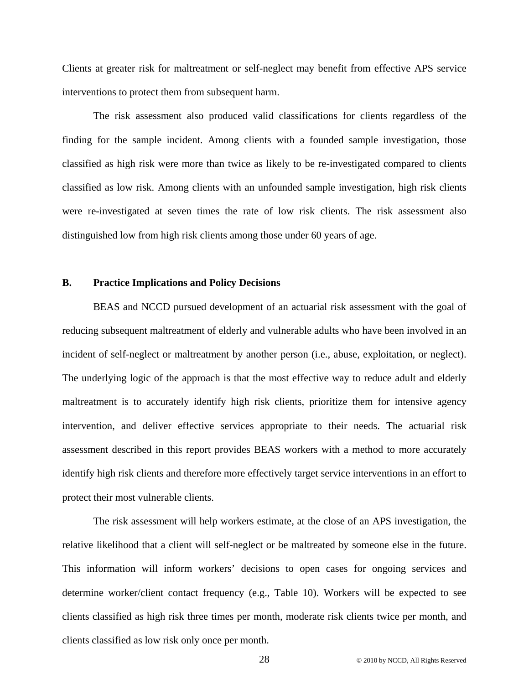Clients at greater risk for maltreatment or self-neglect may benefit from effective APS service interventions to protect them from subsequent harm.

 The risk assessment also produced valid classifications for clients regardless of the finding for the sample incident. Among clients with a founded sample investigation, those classified as high risk were more than twice as likely to be re-investigated compared to clients classified as low risk. Among clients with an unfounded sample investigation, high risk clients were re-investigated at seven times the rate of low risk clients. The risk assessment also distinguished low from high risk clients among those under 60 years of age.

### **B. Practice Implications and Policy Decisions**

BEAS and NCCD pursued development of an actuarial risk assessment with the goal of reducing subsequent maltreatment of elderly and vulnerable adults who have been involved in an incident of self-neglect or maltreatment by another person (i.e., abuse, exploitation, or neglect). The underlying logic of the approach is that the most effective way to reduce adult and elderly maltreatment is to accurately identify high risk clients, prioritize them for intensive agency intervention, and deliver effective services appropriate to their needs. The actuarial risk assessment described in this report provides BEAS workers with a method to more accurately identify high risk clients and therefore more effectively target service interventions in an effort to protect their most vulnerable clients.

The risk assessment will help workers estimate, at the close of an APS investigation, the relative likelihood that a client will self-neglect or be maltreated by someone else in the future. This information will inform workers' decisions to open cases for ongoing services and determine worker/client contact frequency (e.g., Table 10). Workers will be expected to see clients classified as high risk three times per month, moderate risk clients twice per month, and clients classified as low risk only once per month.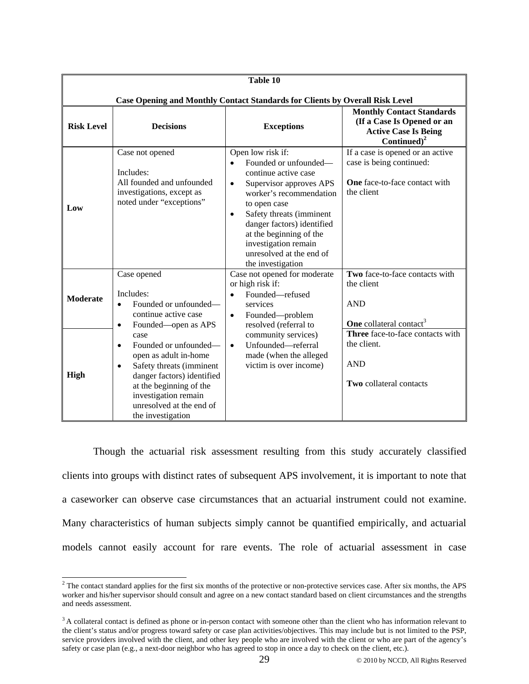|                   |                                                                                                                                                                                                                                                | Table 10                                                                                                                                                                                                                                                                                                                                      |                                                                                                                          |
|-------------------|------------------------------------------------------------------------------------------------------------------------------------------------------------------------------------------------------------------------------------------------|-----------------------------------------------------------------------------------------------------------------------------------------------------------------------------------------------------------------------------------------------------------------------------------------------------------------------------------------------|--------------------------------------------------------------------------------------------------------------------------|
|                   |                                                                                                                                                                                                                                                | <b>Case Opening and Monthly Contact Standards for Clients by Overall Risk Level</b>                                                                                                                                                                                                                                                           |                                                                                                                          |
| <b>Risk Level</b> | <b>Decisions</b>                                                                                                                                                                                                                               | <b>Exceptions</b>                                                                                                                                                                                                                                                                                                                             | <b>Monthly Contact Standards</b><br>(If a Case Is Opened or an<br><b>Active Case Is Being</b><br>Continued) <sup>2</sup> |
| Low               | Case not opened<br>Includes:<br>All founded and unfounded<br>investigations, except as<br>noted under "exceptions"                                                                                                                             | Open low risk if:<br>Founded or unfounded-<br>$\bullet$<br>continue active case<br>Supervisor approves APS<br>$\bullet$<br>worker's recommendation<br>to open case<br>Safety threats (imminent<br>$\bullet$<br>danger factors) identified<br>at the beginning of the<br>investigation remain<br>unresolved at the end of<br>the investigation | If a case is opened or an active<br>case is being continued:<br><b>One</b> face-to-face contact with<br>the client       |
| <b>Moderate</b>   | Case opened<br>Includes:<br>Founded or unfounded—<br>$\bullet$<br>continue active case<br>Founded—open as APS<br>$\bullet$                                                                                                                     | Case not opened for moderate<br>or high risk if:<br>Founded-refused<br>services<br>Founded-problem<br>$\bullet$<br>resolved (referral to                                                                                                                                                                                                      | Two face-to-face contacts with<br>the client<br><b>AND</b><br><b>One</b> collateral contact <sup>3</sup>                 |
| High              | case<br>Founded or unfounded-<br>$\bullet$<br>open as adult in-home<br>Safety threats (imminent<br>$\bullet$<br>danger factors) identified<br>at the beginning of the<br>investigation remain<br>unresolved at the end of<br>the investigation | community services)<br>Unfounded-referral<br>$\bullet$<br>made (when the alleged<br>victim is over income)                                                                                                                                                                                                                                    | Three face-to-face contacts with<br>the client.<br><b>AND</b><br><b>Two</b> collateral contacts                          |

 Though the actuarial risk assessment resulting from this study accurately classified clients into groups with distinct rates of subsequent APS involvement, it is important to note that a caseworker can observe case circumstances that an actuarial instrument could not examine. Many characteristics of human subjects simply cannot be quantified empirically, and actuarial models cannot easily account for rare events. The role of actuarial assessment in case

<sup>&</sup>lt;sup>2</sup> The contact standard applies for the first six months of the protective or non-protective services case. After six months, the APS worker and his/her supervisor should consult and agree on a new contact standard based on client circumstances and the strengths and needs assessment.

<sup>&</sup>lt;sup>3</sup> A collateral contact is defined as phone or in-person contact with someone other than the client who has information relevant to the client's status and/or progress toward safety or case plan activities/objectives. This may include but is not limited to the PSP, service providers involved with the client, and other key people who are involved with the client or who are part of the agency's safety or case plan (e.g., a next-door neighbor who has agreed to stop in once a day to check on the client, etc.).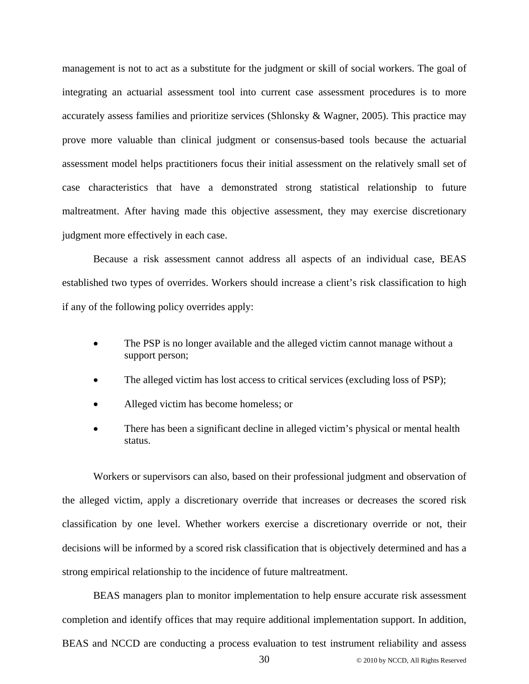management is not to act as a substitute for the judgment or skill of social workers. The goal of integrating an actuarial assessment tool into current case assessment procedures is to more accurately assess families and prioritize services (Shlonsky & Wagner, 2005). This practice may prove more valuable than clinical judgment or consensus-based tools because the actuarial assessment model helps practitioners focus their initial assessment on the relatively small set of case characteristics that have a demonstrated strong statistical relationship to future maltreatment. After having made this objective assessment, they may exercise discretionary judgment more effectively in each case.

 Because a risk assessment cannot address all aspects of an individual case, BEAS established two types of overrides. Workers should increase a client's risk classification to high if any of the following policy overrides apply:

- The PSP is no longer available and the alleged victim cannot manage without a support person;
- The alleged victim has lost access to critical services (excluding loss of PSP);
- Alleged victim has become homeless; or
- There has been a significant decline in alleged victim's physical or mental health status.

 Workers or supervisors can also, based on their professional judgment and observation of the alleged victim, apply a discretionary override that increases or decreases the scored risk classification by one level. Whether workers exercise a discretionary override or not, their decisions will be informed by a scored risk classification that is objectively determined and has a strong empirical relationship to the incidence of future maltreatment.

 BEAS managers plan to monitor implementation to help ensure accurate risk assessment completion and identify offices that may require additional implementation support. In addition, BEAS and NCCD are conducting a process evaluation to test instrument reliability and assess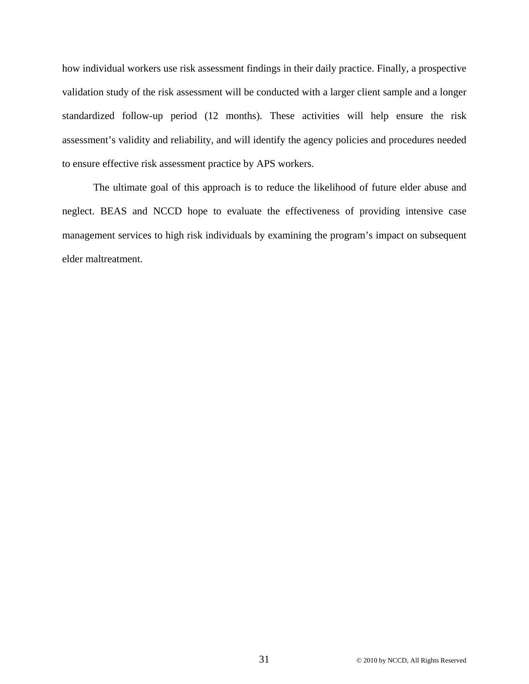how individual workers use risk assessment findings in their daily practice. Finally, a prospective validation study of the risk assessment will be conducted with a larger client sample and a longer standardized follow-up period (12 months). These activities will help ensure the risk assessment's validity and reliability, and will identify the agency policies and procedures needed to ensure effective risk assessment practice by APS workers.

 The ultimate goal of this approach is to reduce the likelihood of future elder abuse and neglect. BEAS and NCCD hope to evaluate the effectiveness of providing intensive case management services to high risk individuals by examining the program's impact on subsequent elder maltreatment.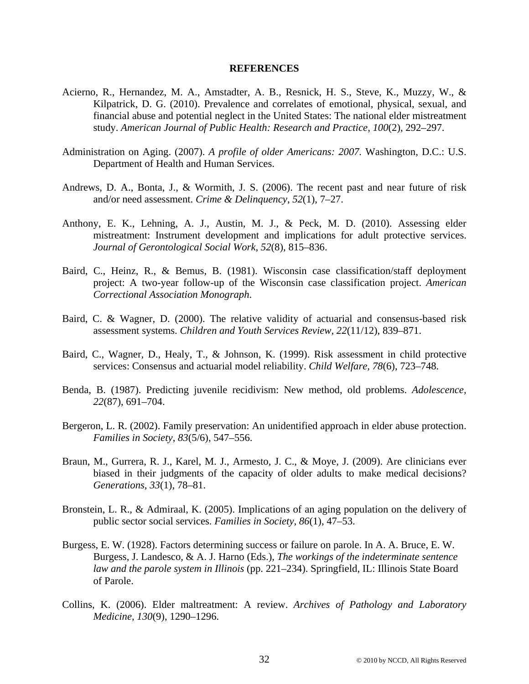#### **REFERENCES**

- Acierno, R., Hernandez, M. A., Amstadter, A. B., Resnick, H. S., Steve, K., Muzzy, W., & Kilpatrick, D. G. (2010). Prevalence and correlates of emotional, physical, sexual, and financial abuse and potential neglect in the United States: The national elder mistreatment study. *American Journal of Public Health: Research and Practice, 100*(2), 292–297.
- Administration on Aging. (2007). *A profile of older Americans: 2007.* Washington, D.C.: U.S. Department of Health and Human Services.
- Andrews, D. A., Bonta, J., & Wormith, J. S. (2006). The recent past and near future of risk and/or need assessment. *Crime & Delinquency*, *52*(1), 7–27.
- Anthony, E. K., Lehning, A. J., Austin, M. J., & Peck, M. D. (2010). Assessing elder mistreatment: Instrument development and implications for adult protective services. *Journal of Gerontological Social Work, 52*(8), 815–836.
- Baird, C., Heinz, R., & Bemus, B. (1981). Wisconsin case classification/staff deployment project: A two-year follow-up of the Wisconsin case classification project. *American Correctional Association Monograph*.
- Baird, C. & Wagner, D. (2000). The relative validity of actuarial and consensus-based risk assessment systems. *Children and Youth Services Review, 22*(11/12), 839–871.
- Baird, C., Wagner, D., Healy, T., & Johnson, K. (1999). Risk assessment in child protective services: Consensus and actuarial model reliability. *Child Welfare, 78*(6), 723–748.
- Benda, B. (1987). Predicting juvenile recidivism: New method, old problems. *Adolescence, 22*(87), 691–704.
- Bergeron, L. R. (2002). Family preservation: An unidentified approach in elder abuse protection. *Families in Society*, *83*(5/6), 547–556.
- Braun, M., Gurrera, R. J., Karel, M. J., Armesto, J. C., & Moye, J. (2009). Are clinicians ever biased in their judgments of the capacity of older adults to make medical decisions? *Generations*, *33*(1), 78–81.
- Bronstein, L. R., & Admiraal, K. (2005). Implications of an aging population on the delivery of public sector social services. *Families in Society*, *86*(1), 47–53.
- Burgess, E. W. (1928). Factors determining success or failure on parole. In A. A. Bruce, E. W. Burgess, J. Landesco, & A. J. Harno (Eds.), *The workings of the indeterminate sentence law and the parole system in Illinois* (pp. 221–234). Springfield, IL: Illinois State Board of Parole.
- Collins, K. (2006). Elder maltreatment: A review. *Archives of Pathology and Laboratory Medicine, 130*(9), 1290–1296.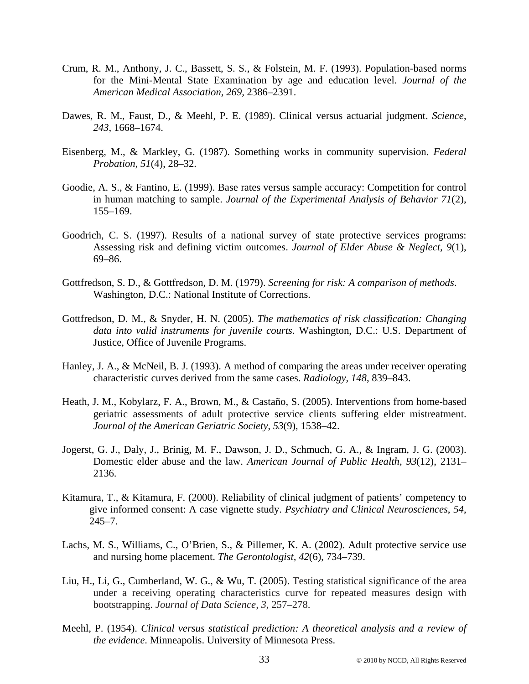- Crum, R. M., Anthony, J. C., Bassett, S. S., & Folstein, M. F. (1993). Population-based norms for the Mini-Mental State Examination by age and education level. *Journal of the American Medical Association, 269,* 2386–2391.
- Dawes, R. M., Faust, D., & Meehl, P. E. (1989). Clinical versus actuarial judgment. *Science*, *243*, 1668–1674.
- Eisenberg, M., & Markley, G. (1987). Something works in community supervision. *Federal Probation*, *51*(4), 28–32.
- Goodie, A. S., & Fantino, E. (1999). Base rates versus sample accuracy: Competition for control in human matching to sample. *Journal of the Experimental Analysis of Behavior 71*(2), 155–169.
- Goodrich, C. S. (1997). Results of a national survey of state protective services programs: Assessing risk and defining victim outcomes. *Journal of Elder Abuse & Neglect, 9*(1), 69–86.
- Gottfredson, S. D., & Gottfredson, D. M. (1979). *Screening for risk: A comparison of methods*. Washington, D.C.: National Institute of Corrections.
- Gottfredson, D. M., & Snyder, H. N. (2005). *The mathematics of risk classification: Changing data into valid instruments for juvenile courts*. Washington, D.C.: U.S. Department of Justice, Office of Juvenile Programs.
- Hanley, J. A., & McNeil, B. J. (1993). A method of comparing the areas under receiver operating characteristic curves derived from the same cases. *Radiology, 148*, 839–843.
- Heath, J. M., Kobylarz, F. A., Brown, M., & Castaño, S. (2005). Interventions from home-based geriatric assessments of adult protective service clients suffering elder mistreatment. *Journal of the American Geriatric Society*, *53*(9), 1538–42.
- Jogerst, G. J., Daly, J., Brinig, M. F., Dawson, J. D., Schmuch, G. A., & Ingram, J. G. (2003). Domestic elder abuse and the law. *American Journal of Public Health, 93*(12), 2131– 2136.
- Kitamura, T., & Kitamura, F. (2000). Reliability of clinical judgment of patients' competency to give informed consent: A case vignette study. *Psychiatry and Clinical Neurosciences*, *54*,  $245 - 7.$
- Lachs, M. S., Williams, C., O'Brien, S., & Pillemer, K. A. (2002). Adult protective service use and nursing home placement. *The Gerontologist, 42*(6), 734–739.
- Liu, H., Li, G., Cumberland, W. G., & Wu, T. (2005). Testing statistical significance of the area under a receiving operating characteristics curve for repeated measures design with bootstrapping. *Journal of Data Science, 3*, 257–278.
- Meehl, P. (1954). *Clinical versus statistical prediction: A theoretical analysis and a review of the evidence*. Minneapolis. University of Minnesota Press.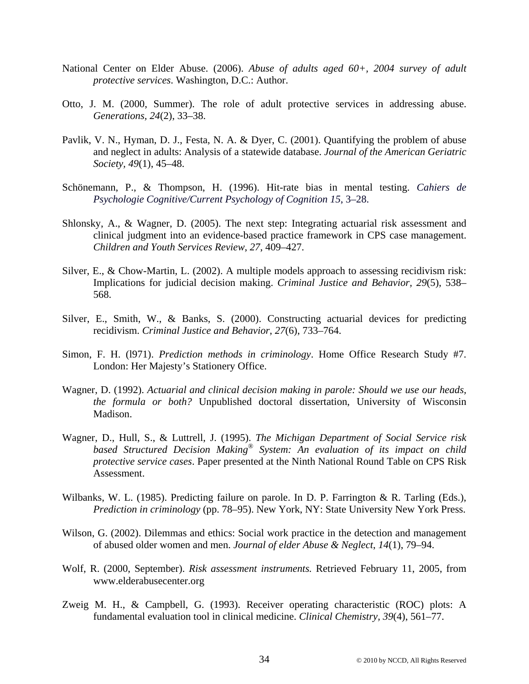- National Center on Elder Abuse. (2006). *Abuse of adults aged 60+, 2004 survey of adult protective services*. Washington, D.C.: Author.
- Otto, J. M. (2000, Summer). The role of adult protective services in addressing abuse. *Generations, 24*(2), 33–38.
- Pavlik, V. N., Hyman, D. J., Festa, N. A. & Dyer, C. (2001). Quantifying the problem of abuse and neglect in adults: Analysis of a statewide database. *Journal of the American Geriatric Society, 49*(1), 45–48.
- Schönemann, P., & Thompson, H. (1996). Hit-rate bias in mental testing. *Cahiers de Psychologie Cognitive/Current Psychology of Cognition 15*, 3–28.
- Shlonsky, A., & Wagner, D. (2005). The next step: Integrating actuarial risk assessment and clinical judgment into an evidence-based practice framework in CPS case management. *Children and Youth Services Review*, *27*, 409–427.
- Silver, E., & Chow-Martin, L. (2002). A multiple models approach to assessing recidivism risk: Implications for judicial decision making. *Criminal Justice and Behavior, 29*(5), 538– 568.
- Silver, E., Smith, W., & Banks, S. (2000). Constructing actuarial devices for predicting recidivism. *Criminal Justice and Behavior*, *27*(6), 733–764.
- Simon, F. H. (l971). *Prediction methods in criminology*. Home Office Research Study #7. London: Her Majesty's Stationery Office.
- Wagner, D. (1992). *Actuarial and clinical decision making in parole: Should we use our heads, the formula or both?* Unpublished doctoral dissertation, University of Wisconsin Madison.
- Wagner, D., Hull, S., & Luttrell, J. (1995). *The Michigan Department of Social Service risk based Structured Decision Making® System: An evaluation of its impact on child protective service cases*. Paper presented at the Ninth National Round Table on CPS Risk Assessment.
- Wilbanks, W. L. (1985). Predicting failure on parole. In D. P. Farrington & R. Tarling (Eds.), *Prediction in criminology* (pp. 78–95). New York, NY: State University New York Press.
- Wilson, G. (2002). Dilemmas and ethics: Social work practice in the detection and management of abused older women and men. *Journal of elder Abuse & Neglect*, *14*(1), 79–94.
- Wolf, R. (2000, September). *Risk assessment instruments.* Retrieved February 11, 2005, from www.elderabusecenter.org
- Zweig M. H., & Campbell, G. (1993). Receiver operating characteristic (ROC) plots: A fundamental evaluation tool in clinical medicine. *Clinical Chemistry, 39*(4), 561–77.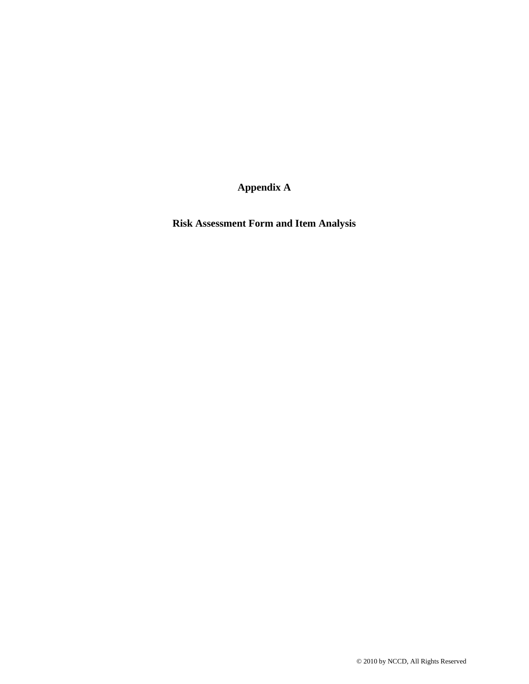**Appendix A** 

**Risk Assessment Form and Item Analysis**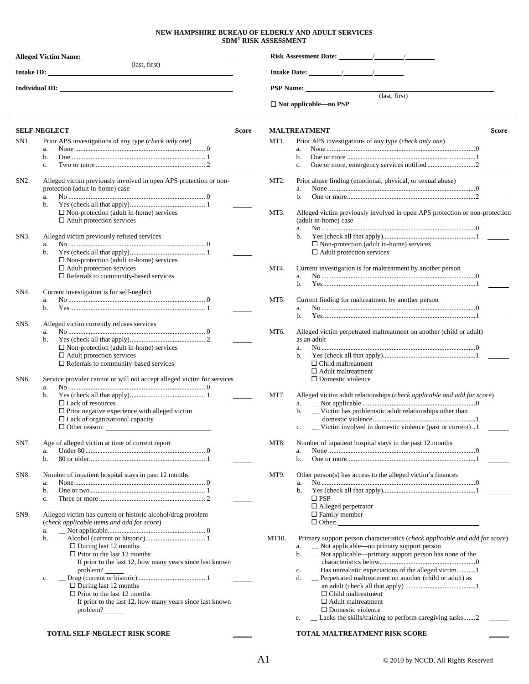#### **NEW HAMPSHIRE BUREAU OF ELDERLY AND ADULT SERVICES SDM® RISK ASSESSMENT**

|                           | Alleged Victim Name:                                                                                                                                                                                                                                                                           |       |                                                                                                                                                                                                                                                                                                                                                                                                                                                                                                  |
|---------------------------|------------------------------------------------------------------------------------------------------------------------------------------------------------------------------------------------------------------------------------------------------------------------------------------------|-------|--------------------------------------------------------------------------------------------------------------------------------------------------------------------------------------------------------------------------------------------------------------------------------------------------------------------------------------------------------------------------------------------------------------------------------------------------------------------------------------------------|
|                           | (last, first)<br>Intake ID: North Contract of the Contract of the Contract of the Contract of the Contract of the Contract of the Contract of the Contract of the Contract of the Contract of the Contract of the Contract of the Contract of t                                                |       |                                                                                                                                                                                                                                                                                                                                                                                                                                                                                                  |
|                           | Individual ID:                                                                                                                                                                                                                                                                                 |       | <b>PSP Name:</b>                                                                                                                                                                                                                                                                                                                                                                                                                                                                                 |
|                           |                                                                                                                                                                                                                                                                                                |       | (last, first)<br>$\Box$ Not applicable—no PSP                                                                                                                                                                                                                                                                                                                                                                                                                                                    |
|                           | <b>SELF-NEGLECT</b>                                                                                                                                                                                                                                                                            | Score | <b>MALTREATMENT</b><br>Score                                                                                                                                                                                                                                                                                                                                                                                                                                                                     |
| SN1.                      | Prior APS investigations of any type (check only one)<br>a.<br>b.<br>c.                                                                                                                                                                                                                        |       | MT1.<br>Prior APS investigations of any type (check only one)<br>a.<br>b.<br>c.                                                                                                                                                                                                                                                                                                                                                                                                                  |
| $SN2$ .                   | Alleged victim previously involved in open APS protection or non-<br>protection (adult in-home) case<br>a.<br>b.<br>$\Box$ Non-protection (adult in-home) services<br>$\Box$ Adult protection services                                                                                         |       | MT <sub>2</sub> .<br>Prior abuse finding (emotional, physical, or sexual abuse)<br>a.<br>b.<br>Alleged victim previously involved in open APS protection or non-protection<br>MT3.<br>(adult in-home) case                                                                                                                                                                                                                                                                                       |
| SN3.                      | Alleged victim previously refused services<br>a.<br>b.<br>$\Box$ Non-protection (adult in-home) services<br>$\Box$ Adult protection services<br>$\Box$ Referrals to community-based services                                                                                                   |       | a.<br>b.<br>$\Box$ Non-protection (adult in-home) services<br>$\Box$ Adult protection services<br>MT4.<br>Current investigation is for maltreatment by another person<br>a.                                                                                                                                                                                                                                                                                                                      |
| SN4.                      | Current investigation is for self-neglect<br>a.<br>b.                                                                                                                                                                                                                                          |       | b.<br>MT5.<br>Current finding for maltreatment by another person<br>a.                                                                                                                                                                                                                                                                                                                                                                                                                           |
| SN <sub>5</sub> .         | Alleged victim currently refuses services<br>a.<br>$\mathbf b$ .<br>$\Box$ Non-protection (adult in-home) services<br>$\Box$ Adult protection services<br>$\Box$ Referrals to community-based services                                                                                         |       | b.<br>MT6.<br>Alleged victim perpetrated maltreatment on another (child or adult)<br>as an adult<br>a.<br>b.<br>$\Box$ Child maltreatment                                                                                                                                                                                                                                                                                                                                                        |
| SN6.                      | Service provider cannot or will not accept alleged victim for services<br>a.<br>$\mathbf b$ .<br>$\Box$ Lack of resources<br>$\Box$ Prior negative experience with alleged victim<br>$\Box$ Lack of organizational capacity                                                                    |       | $\Box$ Adult maltreatment<br>$\Box$ Domestic violence<br>MT7.<br>Alleged victim adult relationships (check applicable and add for score)<br>a.<br>_ Victim has problematic adult relationships other than<br>b.<br>_ Victim involved in domestic violence (past or current)1<br>c.                                                                                                                                                                                                               |
| SN7.                      | Age of alleged victim at time of current report<br>a.<br>b.                                                                                                                                                                                                                                    |       | MT8.<br>Number of inpatient hospital stays in the past 12 months<br>a.<br>b.                                                                                                                                                                                                                                                                                                                                                                                                                     |
| SN <sub>8</sub> .<br>SN9. | Number of inpatient hospital stays in past 12 months<br>a.<br>b.<br>c.<br>Alleged victim has current or historic alcohol/drug problem<br>(check applicable items and add for score)                                                                                                            |       | MT9.<br>Other person(s) has access to the alleged victim's finances<br>a.<br>b.<br>$\square$ PSP<br>$\Box$ Alleged perpetrator<br>$\Box$ Family member<br>$\Box$ Other:                                                                                                                                                                                                                                                                                                                          |
|                           | a.<br>b.<br>$\Box$ During last 12 months<br>$\Box$ Prior to the last 12 months<br>If prior to the last 12, how many years since last known<br>problem?<br>c.<br>$\Box$ During last 12 months<br>$\Box$ Prior to the last 12 months<br>If prior to the last 12, how many years since last known |       | MT10.<br>Primary support person characteristics (check applicable and add for score)<br>_ Not applicable—no primary support person<br>a.<br>b.<br>_ Not applicable—primary support person has none of the<br>- Has unrealistic expectations of the alleged victim1<br>c.<br>_Perpetrated maltreatment on another (child or adult) as<br>d.<br>$\Box$ Child maltreatment<br>$\Box$ Adult maltreatment<br>$\Box$ Domestic violence<br>Lacks the skills/training to perform caregiving tasks2<br>e. |
|                           | TOTAL SELF-NEGLECT RISK SCORE                                                                                                                                                                                                                                                                  |       | TOTAL MALTREATMENT RISK SCORE                                                                                                                                                                                                                                                                                                                                                                                                                                                                    |

 $\overline{\phantom{0}}$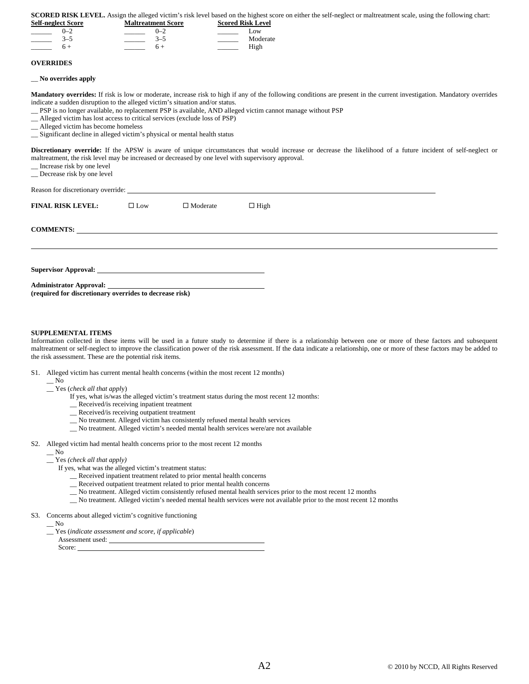|                                                                                                                                                                                                                                                                                                                                                                                                                                                          |                                         |                                         | <b>SCORED RISK LEVEL.</b> Assign the alleged victim's risk level based on the highest score on either the self-neglect or maltreatment scale, using the following chart:                                                                                                                                                                                                                                                                             |
|----------------------------------------------------------------------------------------------------------------------------------------------------------------------------------------------------------------------------------------------------------------------------------------------------------------------------------------------------------------------------------------------------------------------------------------------------------|-----------------------------------------|-----------------------------------------|------------------------------------------------------------------------------------------------------------------------------------------------------------------------------------------------------------------------------------------------------------------------------------------------------------------------------------------------------------------------------------------------------------------------------------------------------|
| <b>Self-neglect Score</b>                                                                                                                                                                                                                                                                                                                                                                                                                                | <b>Maltreatment Score</b><br>$\sim$ 0-2 |                                         | <b>Scored Risk Level</b><br>Low                                                                                                                                                                                                                                                                                                                                                                                                                      |
| $0 - 2$<br>$3 - 5$                                                                                                                                                                                                                                                                                                                                                                                                                                       | $\frac{3-5}{2}$                         | $\mathcal{L}^{\text{max}}_{\text{max}}$ | Moderate                                                                                                                                                                                                                                                                                                                                                                                                                                             |
| $6+$                                                                                                                                                                                                                                                                                                                                                                                                                                                     | $6+$                                    |                                         | High                                                                                                                                                                                                                                                                                                                                                                                                                                                 |
| <b>OVERRIDES</b>                                                                                                                                                                                                                                                                                                                                                                                                                                         |                                         |                                         |                                                                                                                                                                                                                                                                                                                                                                                                                                                      |
| _No overrides apply                                                                                                                                                                                                                                                                                                                                                                                                                                      |                                         |                                         |                                                                                                                                                                                                                                                                                                                                                                                                                                                      |
| indicate a sudden disruption to the alleged victim's situation and/or status.<br>_ Alleged victim has lost access to critical services (exclude loss of PSP)<br>_ Alleged victim has become homeless<br>_ Significant decline in alleged victim's physical or mental health status<br>maltreatment, the risk level may be increased or decreased by one level with supervisory approval.<br>_ Increase risk by one level<br>_ Decrease risk by one level |                                         |                                         | Mandatory overrides: If risk is low or moderate, increase risk to high if any of the following conditions are present in the current investigation. Mandatory overrides<br>_PSP is no longer available, no replacement PSP is available, AND alleged victim cannot manage without PSP<br>Discretionary override: If the APSW is aware of unique circumstances that would increase or decrease the likelihood of a future incident of self-neglect or |
|                                                                                                                                                                                                                                                                                                                                                                                                                                                          |                                         |                                         |                                                                                                                                                                                                                                                                                                                                                                                                                                                      |
|                                                                                                                                                                                                                                                                                                                                                                                                                                                          |                                         |                                         |                                                                                                                                                                                                                                                                                                                                                                                                                                                      |
| <b>FINAL RISK LEVEL:</b>                                                                                                                                                                                                                                                                                                                                                                                                                                 | $\Box$ Low                              | $\Box$ Moderate                         | $\Box$ High                                                                                                                                                                                                                                                                                                                                                                                                                                          |
|                                                                                                                                                                                                                                                                                                                                                                                                                                                          |                                         |                                         | COMMENTS: New York COMMENTS: New York COMMENTS:                                                                                                                                                                                                                                                                                                                                                                                                      |
|                                                                                                                                                                                                                                                                                                                                                                                                                                                          |                                         |                                         |                                                                                                                                                                                                                                                                                                                                                                                                                                                      |
|                                                                                                                                                                                                                                                                                                                                                                                                                                                          |                                         |                                         |                                                                                                                                                                                                                                                                                                                                                                                                                                                      |
| Administrator Approval:<br>(required for discretionary overrides to decrease risk)                                                                                                                                                                                                                                                                                                                                                                       |                                         |                                         |                                                                                                                                                                                                                                                                                                                                                                                                                                                      |
|                                                                                                                                                                                                                                                                                                                                                                                                                                                          |                                         |                                         |                                                                                                                                                                                                                                                                                                                                                                                                                                                      |

#### **SUPPLEMENTAL ITEMS**

Information collected in these items will be used in a future study to determine if there is a relationship between one or more of these factors and subsequent maltreatment or self-neglect to improve the classification power of the risk assessment. If the data indicate a relationship, one or more of these factors may be added to the risk assessment. These are the potential risk items.

S1. Alleged victim has current mental health concerns (within the most recent 12 months)

#### $\_$ No

#### \_\_ Yes (*check all that appl*y)

- If yes, what is/was the alleged victim's treatment status during the most recent 12 months:
- \_\_ Received/is receiving inpatient treatment
- \_\_ Received/is receiving outpatient treatment
- \_\_ No treatment. Alleged victim has consistently refused mental health services
- \_\_ No treatment. Alleged victim's needed mental health services were/are not available
- S2. Alleged victim had mental health concerns prior to the most recent 12 months

#### $\overline{\phantom{0}}^{\rm No}$ \_\_ Yes *(check all that apply)*

- If yes, what was the alleged victim's treatment status:
	- \_\_ Received inpatient treatment related to prior mental health concerns
	- \_\_ Received outpatient treatment related to prior mental health concerns
	- \_\_ No treatment. Alleged victim consistently refused mental health services prior to the most recent 12 months
- \_\_ No treatment. Alleged victim's needed mental health services were not available prior to the most recent 12 months

S3. Concerns about alleged victim's cognitive functioning

- $\_$ No
- \_\_ Yes (*indicate assessment and score, if applicable*) Assessment used:

Score: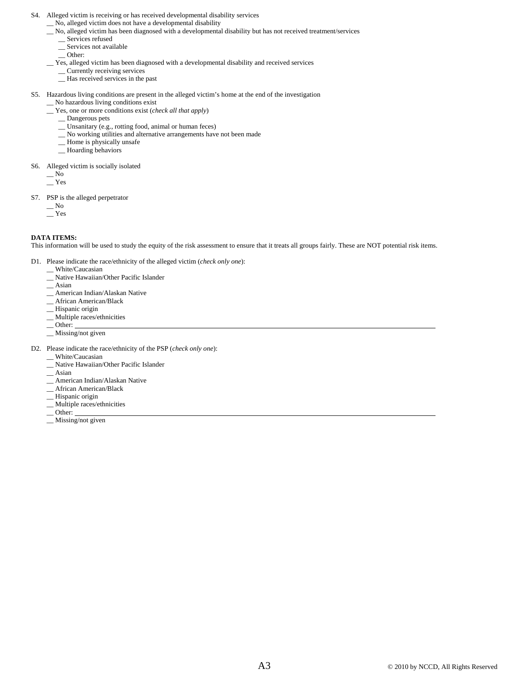- S4. Alleged victim is receiving or has received developmental disability services
	- \_\_ No, alleged victim does not have a developmental disability
	- \_\_ No, alleged victim has been diagnosed with a developmental disability but has not received treatment/services
		- \_\_ Services refused
		- \_\_ Services not available
		- \_\_ Other:
	- \_\_ Yes, alleged victim has been diagnosed with a developmental disability and received services
		- \_\_ Currently receiving services
		- \_\_ Has received services in the past
- S5. Hazardous living conditions are present in the alleged victim's home at the end of the investigation
	- \_\_ No hazardous living conditions exist
	- \_\_ Yes, one or more conditions exist (*check all that apply*)
		- \_\_ Dangerous pets
		- \_\_ Unsanitary (e.g., rotting food, animal or human feces)
		- \_\_ No working utilities and alternative arrangements have not been made
		- \_\_ Home is physically unsafe
		- \_\_ Hoarding behaviors
- S6. Alleged victim is socially isolated
	- $\overline{\phantom{0}}^{\rm No}$
	- $-$  Yes
- S7. PSP is the alleged perpetrator
	- $\overline{\phantom{0}}$  No
	- \_\_ Yes

#### **DATA ITEMS:**

This information will be used to study the equity of the risk assessment to ensure that it treats all groups fairly. These are NOT potential risk items.

- D1. Please indicate the race/ethnicity of the alleged victim (*check only one*):
	- White/Caucasian
	- \_\_ Native Hawaiian/Other Pacific Islander
	- $-$ Asian
	- \_\_ American Indian/Alaskan Native
	- African American/Black
	- \_\_ Hispanic origin
	- \_\_ Multiple races/ethnicities
	- \_\_ Other:
	- \_\_ Missing/not given
- D2. Please indicate the race/ethnicity of the PSP (*check only one*):
	- \_\_ White/Caucasian
	- \_\_ Native Hawaiian/Other Pacific Islander
	- $-$ Asian
	- \_\_ American Indian/Alaskan Native
	- African American/Black
	- Hispanic origin
	- \_\_ Multiple races/ethnicities
	- \_\_ Other: \_\_ Missing/not given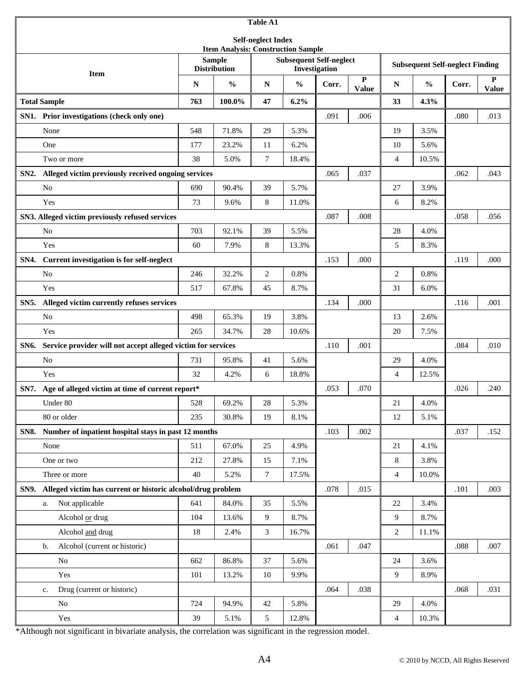|             |                                                                  |     |                                           | <b>Table A1</b>           |               |                                                                                           |                             |                |               |       |                           |
|-------------|------------------------------------------------------------------|-----|-------------------------------------------|---------------------------|---------------|-------------------------------------------------------------------------------------------|-----------------------------|----------------|---------------|-------|---------------------------|
|             |                                                                  |     | <b>Item Analysis: Construction Sample</b> | <b>Self-neglect Index</b> |               |                                                                                           |                             |                |               |       |                           |
|             | <b>Item</b>                                                      |     | <b>Sample</b><br><b>Distribution</b>      |                           |               | <b>Subsequent Self-neglect</b><br><b>Subsequent Self-neglect Finding</b><br>Investigation |                             |                |               |       |                           |
|             |                                                                  |     | $\frac{0}{0}$                             | ${\bf N}$                 | $\frac{0}{0}$ | Corr.                                                                                     | $\mathbf P$<br><b>Value</b> | ${\bf N}$      | $\frac{0}{0}$ | Corr. | ${\bf P}$<br><b>Value</b> |
|             | <b>Total Sample</b>                                              | 763 | 100.0%                                    | 47                        | 6.2%          |                                                                                           |                             | 33             | 4.3%          |       |                           |
|             | SN1. Prior investigations (check only one)                       |     |                                           |                           |               | .091                                                                                      | .006                        |                |               | .080  | .013                      |
|             | None                                                             | 548 | 71.8%                                     | 29                        | 5.3%          |                                                                                           |                             | 19             | 3.5%          |       |                           |
|             | One                                                              | 177 | 23.2%                                     | 11                        | 6.2%          |                                                                                           |                             | 10             | 5.6%          |       |                           |
|             | Two or more                                                      | 38  | 5.0%                                      | $\tau$                    | 18.4%         |                                                                                           |                             | $\overline{4}$ | 10.5%         |       |                           |
|             | SN2. Alleged victim previously received ongoing services         |     |                                           |                           |               | .065                                                                                      | .037                        |                |               | .062  | .043                      |
|             | No                                                               | 690 | 90.4%                                     | 39                        | 5.7%          |                                                                                           |                             | 27             | 3.9%          |       |                           |
|             | Yes                                                              | 73  | 9.6%                                      | 8                         | 11.0%         |                                                                                           |                             | 6              | 8.2%          |       |                           |
|             | SN3. Alleged victim previously refused services                  |     |                                           |                           |               | .087                                                                                      | .008                        |                |               | .058  | .056                      |
|             | N <sub>o</sub>                                                   | 703 | 92.1%                                     | 39                        | 5.5%          |                                                                                           |                             | 28             | 4.0%          |       |                           |
|             | Yes                                                              | 60  | 7.9%                                      | 8                         | 13.3%         |                                                                                           |                             | 5              | 8.3%          |       |                           |
|             | SN4. Current investigation is for self-neglect                   |     |                                           |                           |               | .153                                                                                      | .000                        |                |               | .119  | .000                      |
|             | No                                                               | 246 | 32.2%                                     | $\overline{2}$            | 0.8%          |                                                                                           |                             | $\overline{c}$ | 0.8%          |       |                           |
|             | Yes                                                              | 517 | 67.8%                                     | 45                        | 8.7%          |                                                                                           |                             | 31             | 6.0%          |       |                           |
| <b>SN5.</b> | Alleged victim currently refuses services                        |     |                                           |                           |               | .134                                                                                      | .000                        |                |               | .116  | .001                      |
|             | N <sub>o</sub>                                                   | 498 | 65.3%                                     | 19                        | 3.8%          |                                                                                           |                             | 13             | 2.6%          |       |                           |
|             | Yes                                                              | 265 | 34.7%                                     | 28                        | 10.6%         |                                                                                           |                             | 20             | 7.5%          |       |                           |
| SN6.        | Service provider will not accept alleged victim for services     |     |                                           |                           |               | .110                                                                                      | .001                        |                |               | .084  | .010                      |
|             | N <sub>o</sub>                                                   | 731 | 95.8%                                     | 41                        | 5.6%          |                                                                                           |                             | 29             | 4.0%          |       |                           |
|             | Yes                                                              | 32  | 4.2%                                      | 6                         | 18.8%         |                                                                                           |                             | $\overline{4}$ | 12.5%         |       |                           |
|             | SN7. Age of alleged victim at time of current report*            |     |                                           |                           |               | .053                                                                                      | .070                        |                |               | .026  | .240                      |
|             | Under 80                                                         | 528 | 69.2%                                     | $28\,$                    | 5.3%          |                                                                                           |                             | 21             | 4.0%          |       |                           |
|             | 80 or older                                                      | 235 | 30.8%                                     | 19                        | 8.1%          |                                                                                           |                             | 12             | 5.1%          |       |                           |
|             | SN8. Number of inpatient hospital stays in past 12 months        |     |                                           |                           |               | .103                                                                                      | .002                        |                |               | .037  | .152                      |
|             | None                                                             | 511 | 67.0%                                     | $25\,$                    | 4.9%          |                                                                                           |                             | $21\,$         | 4.1%          |       |                           |
|             | One or two                                                       | 212 | 27.8%                                     | 15                        | 7.1%          |                                                                                           |                             | 8              | 3.8%          |       |                           |
|             | Three or more                                                    | 40  | 5.2%                                      | $\tau$                    | 17.5%         |                                                                                           |                             | $\overline{4}$ | 10.0%         |       |                           |
|             | SN9. Alleged victim has current or historic alcohol/drug problem |     |                                           |                           |               | .078                                                                                      | .015                        |                |               | .101  | .003                      |
|             | Not applicable<br>a.                                             | 641 | 84.0%                                     | 35                        | 5.5%          |                                                                                           |                             | 22             | 3.4%          |       |                           |
|             | Alcohol or drug                                                  | 104 | 13.6%                                     | 9                         | 8.7%          |                                                                                           |                             | 9              | 8.7%          |       |                           |
|             | Alcohol and drug                                                 | 18  | 2.4%                                      | 3                         | 16.7%         |                                                                                           |                             | $\overline{c}$ | 11.1%         |       |                           |
|             | Alcohol (current or historic)<br>b.                              |     |                                           |                           |               | .061                                                                                      | .047                        |                |               | .088  | .007                      |
|             | No                                                               | 662 | 86.8%                                     | 37                        | 5.6%          |                                                                                           |                             | 24             | 3.6%          |       |                           |
|             | Yes                                                              | 101 | 13.2%                                     | $10\,$                    | 9.9%          |                                                                                           |                             | 9              | 8.9%          |       |                           |
|             | Drug (current or historic)<br>c.                                 |     |                                           |                           |               | .064                                                                                      | .038                        |                |               | .068  | .031                      |
|             | No                                                               | 724 | 94.9%                                     | 42                        | 5.8%          |                                                                                           |                             | 29             | 4.0%          |       |                           |
|             | Yes                                                              | 39  | 5.1%                                      | 5                         | 12.8%         |                                                                                           |                             | $\overline{4}$ | 10.3%         |       |                           |

\*Although not significant in bivariate analysis, the correlation was significant in the regression model.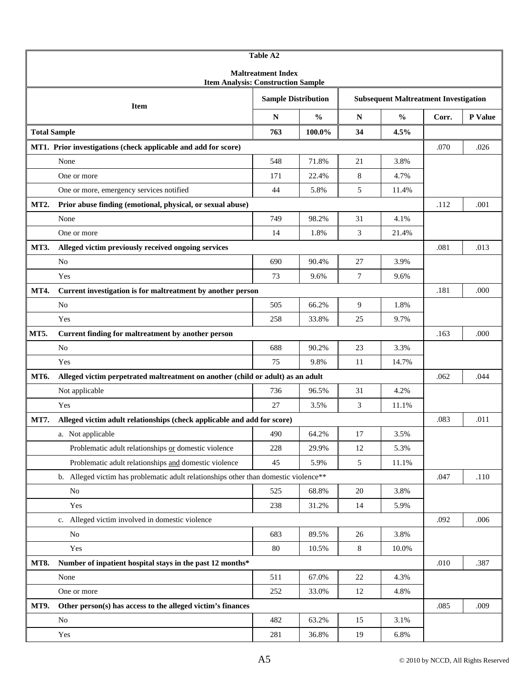|             |                                                                                      | <b>Table A2</b>            |               |           |                                              |       |         |
|-------------|--------------------------------------------------------------------------------------|----------------------------|---------------|-----------|----------------------------------------------|-------|---------|
|             | <b>Item Analysis: Construction Sample</b>                                            | <b>Maltreatment Index</b>  |               |           |                                              |       |         |
|             | <b>Item</b>                                                                          | <b>Sample Distribution</b> |               |           | <b>Subsequent Maltreatment Investigation</b> |       |         |
|             |                                                                                      | N                          | $\frac{6}{6}$ | ${\bf N}$ | $\frac{6}{6}$                                | Corr. | P Value |
|             | <b>Total Sample</b>                                                                  | 763                        | 100.0%        | 34        | 4.5%                                         |       |         |
|             | MT1. Prior investigations (check applicable and add for score)                       |                            |               |           |                                              | .070  | .026    |
|             | None                                                                                 | 548                        | 71.8%         | 21        | 3.8%                                         |       |         |
|             | One or more                                                                          | 171                        | 22.4%         | $\,8\,$   | 4.7%                                         |       |         |
|             | One or more, emergency services notified                                             | 44                         | 5.8%          | 5         | 11.4%                                        |       |         |
| MT2.        | Prior abuse finding (emotional, physical, or sexual abuse)                           |                            |               |           |                                              | .112  | .001    |
|             | None                                                                                 | 749                        | 98.2%         | 31        | 4.1%                                         |       |         |
|             | One or more                                                                          | 14                         | 1.8%          | 3         | 21.4%                                        |       |         |
| <b>MT3.</b> | Alleged victim previously received ongoing services                                  |                            |               |           |                                              | .081  | .013    |
|             | No                                                                                   | 690                        | 90.4%         | 27        | 3.9%                                         |       |         |
|             | Yes                                                                                  | 73                         | 9.6%          | 7         | 9.6%                                         |       |         |
| <b>MT4.</b> | Current investigation is for maltreatment by another person                          |                            |               |           |                                              | .181  | .000    |
|             | N <sub>o</sub>                                                                       | 505                        | 66.2%         | 9         | 1.8%                                         |       |         |
|             | Yes                                                                                  | 258                        | 33.8%         | 25        | 9.7%                                         |       |         |
| MT5.        | Current finding for maltreatment by another person                                   |                            |               |           |                                              | .163  | .000    |
|             | N <sub>o</sub>                                                                       | 688                        | 90.2%         | 23        | 3.3%                                         |       |         |
|             | Yes                                                                                  | 75                         | 9.8%          | 11        | 14.7%                                        |       |         |
| MT6.        | Alleged victim perpetrated maltreatment on another (child or adult) as an adult      |                            |               |           |                                              | .062  | .044    |
|             | Not applicable                                                                       | 736                        | 96.5%         | 31        | 4.2%                                         |       |         |
|             | Yes                                                                                  | 27                         | 3.5%          | 3         | 11.1%                                        |       |         |
| <b>MT7.</b> | Alleged victim adult relationships (check applicable and add for score)              |                            |               |           |                                              | .083  | .011    |
|             | a. Not applicable                                                                    | 490                        | 64.2%         | 17        | 3.5%                                         |       |         |
|             | Problematic adult relationships or domestic violence                                 | 228                        | 29.9%         | 12        | 5.3%                                         |       |         |
|             | Problematic adult relationships and domestic violence                                | 45                         | 5.9%          | 5         | 11.1%                                        |       |         |
|             | b. Alleged victim has problematic adult relationships other than domestic violence** |                            |               |           |                                              | .047  | .110    |
|             | No                                                                                   | 525                        | 68.8%         | 20        | 3.8%                                         |       |         |
|             | Yes                                                                                  | 238                        | 31.2%         | 14        | 5.9%                                         |       |         |
|             | c. Alleged victim involved in domestic violence                                      |                            |               |           |                                              | .092  | .006    |
|             | No                                                                                   | 683                        | 89.5%         | 26        | 3.8%                                         |       |         |
|             | Yes                                                                                  | $80\,$                     | 10.5%         | 8         | 10.0%                                        |       |         |
| <b>MT8.</b> | Number of inpatient hospital stays in the past 12 months*                            |                            |               |           |                                              | .010  | .387    |
|             | None                                                                                 | 511                        | 67.0%         | $22\,$    | 4.3%                                         |       |         |
|             | One or more                                                                          | 252                        | 33.0%         | 12        | 4.8%                                         |       |         |
| <b>MT9.</b> | Other person(s) has access to the alleged victim's finances                          |                            |               |           |                                              | .085  | .009    |
|             | No                                                                                   | 482                        | 63.2%         | 15        | 3.1%                                         |       |         |
|             | Yes                                                                                  | 281                        | 36.8%         | 19        | 6.8%                                         |       |         |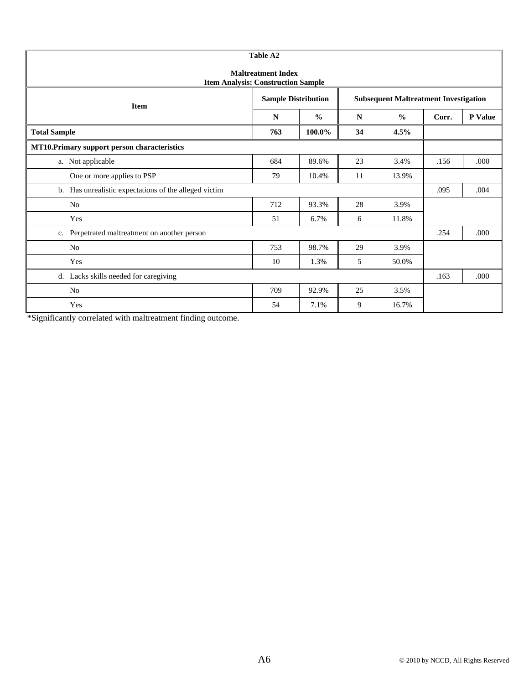|                                                       | <b>Table A2</b>                                                        |                            |    |                                              |       |                |  |
|-------------------------------------------------------|------------------------------------------------------------------------|----------------------------|----|----------------------------------------------|-------|----------------|--|
|                                                       | <b>Maltreatment Index</b><br><b>Item Analysis: Construction Sample</b> |                            |    |                                              |       |                |  |
| <b>Item</b>                                           |                                                                        | <b>Sample Distribution</b> |    | <b>Subsequent Maltreatment Investigation</b> |       |                |  |
|                                                       | N                                                                      | $\frac{0}{0}$              | N  | $\frac{0}{0}$                                | Corr. | <b>P</b> Value |  |
| <b>Total Sample</b>                                   | 763                                                                    | 100.0%                     | 34 | 4.5%                                         |       |                |  |
| MT10.Primary support person characteristics           |                                                                        |                            |    |                                              |       |                |  |
| a. Not applicable                                     | 684                                                                    | 89.6%                      | 23 | 3.4%                                         | .156  | .000           |  |
| One or more applies to PSP                            | 79                                                                     | 10.4%                      | 11 | 13.9%                                        |       |                |  |
| b. Has unrealistic expectations of the alleged victim |                                                                        |                            |    |                                              | .095  | .004           |  |
| N <sub>0</sub>                                        | 712                                                                    | 93.3%                      | 28 | 3.9%                                         |       |                |  |
| Yes                                                   | 51                                                                     | 6.7%                       | 6  | 11.8%                                        |       |                |  |
| Perpetrated maltreatment on another person<br>c.      |                                                                        |                            |    |                                              | .254  | .000           |  |
| N <sub>0</sub>                                        | 753                                                                    | 98.7%                      | 29 | 3.9%                                         |       |                |  |
| Yes                                                   | 10                                                                     | 1.3%                       | 5  | 50.0%                                        |       |                |  |
| d. Lacks skills needed for caregiving                 |                                                                        |                            |    |                                              | .163  | .000.          |  |
| N <sub>0</sub>                                        | 709                                                                    | 92.9%                      | 25 | 3.5%                                         |       |                |  |
| Yes                                                   | 54                                                                     | 7.1%                       | 9  | 16.7%                                        |       |                |  |

\*Significantly correlated with maltreatment finding outcome.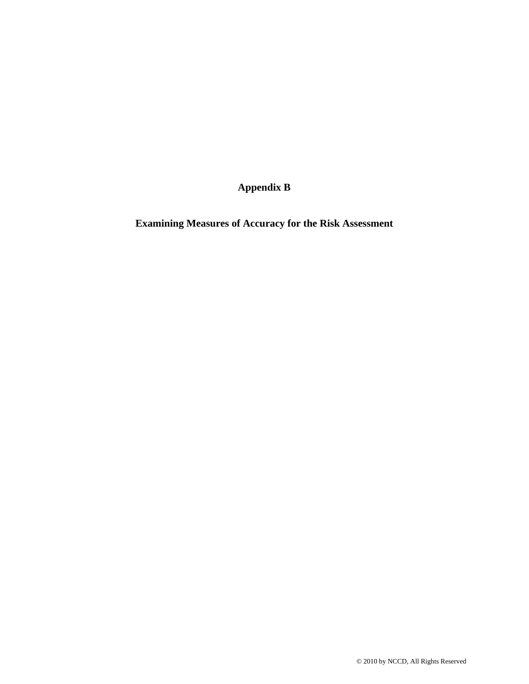**Appendix B** 

**Examining Measures of Accuracy for the Risk Assessment**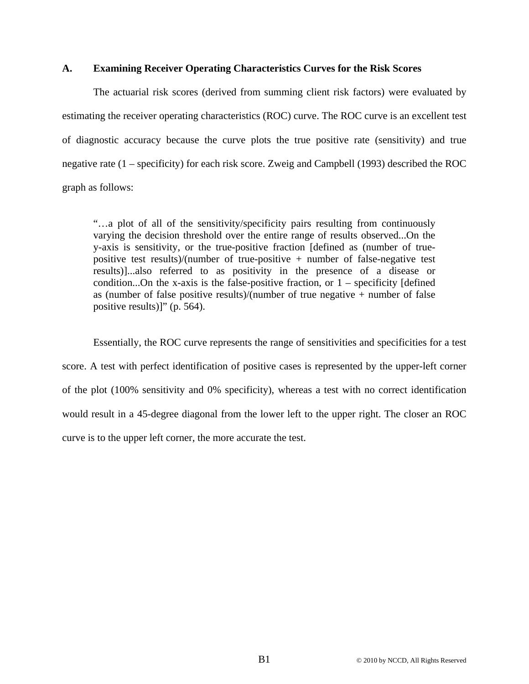## **A. Examining Receiver Operating Characteristics Curves for the Risk Scores**

 The actuarial risk scores (derived from summing client risk factors) were evaluated by estimating the receiver operating characteristics (ROC) curve. The ROC curve is an excellent test of diagnostic accuracy because the curve plots the true positive rate (sensitivity) and true negative rate (1 – specificity) for each risk score. Zweig and Campbell (1993) described the ROC graph as follows:

"…a plot of all of the sensitivity/specificity pairs resulting from continuously varying the decision threshold over the entire range of results observed...On the y-axis is sensitivity, or the true-positive fraction [defined as (number of truepositive test results)/(number of true-positive  $+$  number of false-negative test results)]...also referred to as positivity in the presence of a disease or condition...On the x-axis is the false-positive fraction, or  $1$  – specificity [defined] as (number of false positive results)/(number of true negative  $+$  number of false positive results)]" (p. 564).

 Essentially, the ROC curve represents the range of sensitivities and specificities for a test score. A test with perfect identification of positive cases is represented by the upper-left corner of the plot (100% sensitivity and 0% specificity), whereas a test with no correct identification would result in a 45-degree diagonal from the lower left to the upper right. The closer an ROC curve is to the upper left corner, the more accurate the test.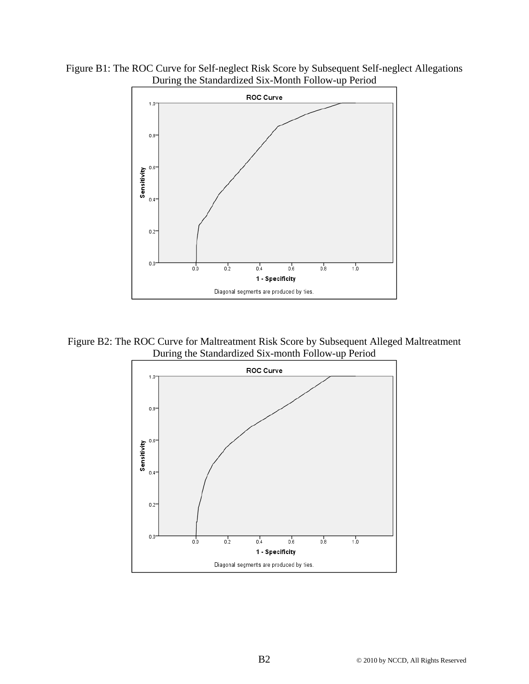

Figure B1: The ROC Curve for Self-neglect Risk Score by Subsequent Self-neglect Allegations During the Standardized Six-Month Follow-up Period

Figure B2: The ROC Curve for Maltreatment Risk Score by Subsequent Alleged Maltreatment During the Standardized Six-month Follow-up Period

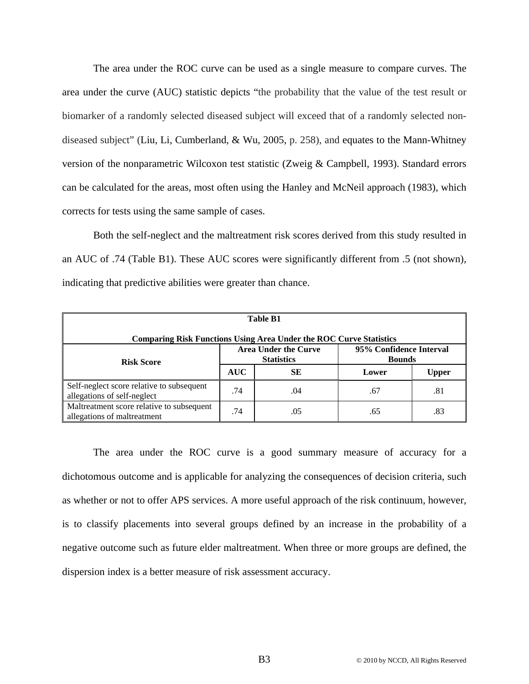The area under the ROC curve can be used as a single measure to compare curves. The area under the curve (AUC) statistic depicts "the probability that the value of the test result or biomarker of a randomly selected diseased subject will exceed that of a randomly selected nondiseased subject" (Liu, Li, Cumberland, & Wu, 2005, p. 258), and equates to the Mann-Whitney version of the nonparametric Wilcoxon test statistic (Zweig & Campbell, 1993). Standard errors can be calculated for the areas, most often using the Hanley and McNeil approach (1983), which corrects for tests using the same sample of cases.

 Both the self-neglect and the maltreatment risk scores derived from this study resulted in an AUC of .74 (Table B1). These AUC scores were significantly different from .5 (not shown), indicating that predictive abilities were greater than chance.

| <b>Table B1</b>                                                           |            |                                                  |                                          |              |  |  |  |
|---------------------------------------------------------------------------|------------|--------------------------------------------------|------------------------------------------|--------------|--|--|--|
| <b>Comparing Risk Functions Using Area Under the ROC Curve Statistics</b> |            |                                                  |                                          |              |  |  |  |
| <b>Risk Score</b>                                                         |            | <b>Area Under the Curve</b><br><b>Statistics</b> | 95% Confidence Interval<br><b>Bounds</b> |              |  |  |  |
|                                                                           | <b>AUC</b> | SЕ                                               | Lower                                    | <b>Upper</b> |  |  |  |
| Self-neglect score relative to subsequent<br>allegations of self-neglect  | .74        | .04                                              | .67                                      | .81          |  |  |  |
| Maltreatment score relative to subsequent<br>allegations of maltreatment  | .74        | .05                                              | .65                                      | .83          |  |  |  |

 The area under the ROC curve is a good summary measure of accuracy for a dichotomous outcome and is applicable for analyzing the consequences of decision criteria, such as whether or not to offer APS services. A more useful approach of the risk continuum, however, is to classify placements into several groups defined by an increase in the probability of a negative outcome such as future elder maltreatment. When three or more groups are defined, the dispersion index is a better measure of risk assessment accuracy.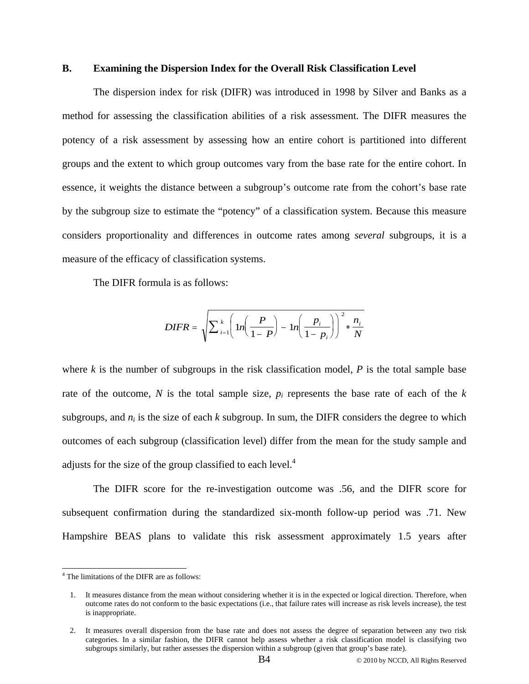#### **B. Examining the Dispersion Index for the Overall Risk Classification Level**

The dispersion index for risk (DIFR) was introduced in 1998 by Silver and Banks as a method for assessing the classification abilities of a risk assessment. The DIFR measures the potency of a risk assessment by assessing how an entire cohort is partitioned into different groups and the extent to which group outcomes vary from the base rate for the entire cohort. In essence, it weights the distance between a subgroup's outcome rate from the cohort's base rate by the subgroup size to estimate the "potency" of a classification system. Because this measure considers proportionality and differences in outcome rates among *several* subgroups, it is a measure of the efficacy of classification systems.

The DIFR formula is as follows:

$$
DIFR = \sqrt{\sum_{i=1}^{k} \left( \ln \left( \frac{P}{1-P} \right) - \ln \left( \frac{p_i}{1-p_i} \right) \right)^2 * \frac{n_i}{N}}
$$

where  $k$  is the number of subgroups in the risk classification model,  $P$  is the total sample base rate of the outcome, *N* is the total sample size, *pi* represents the base rate of each of the *k* subgroups, and  $n_i$  is the size of each  $k$  subgroup. In sum, the DIFR considers the degree to which outcomes of each subgroup (classification level) differ from the mean for the study sample and adjusts for the size of the group classified to each level. $4$ 

 The DIFR score for the re-investigation outcome was .56, and the DIFR score for subsequent confirmation during the standardized six-month follow-up period was .71. New Hampshire BEAS plans to validate this risk assessment approximately 1.5 years after

 $\overline{a}$ 

<sup>4</sup> The limitations of the DIFR are as follows:

<sup>1.</sup> It measures distance from the mean without considering whether it is in the expected or logical direction. Therefore, when outcome rates do not conform to the basic expectations (i.e., that failure rates will increase as risk levels increase), the test is inappropriate.

<sup>2.</sup> It measures overall dispersion from the base rate and does not assess the degree of separation between any two risk categories. In a similar fashion, the DIFR cannot help assess whether a risk classification model is classifying two subgroups similarly, but rather assesses the dispersion within a subgroup (given that group's base rate).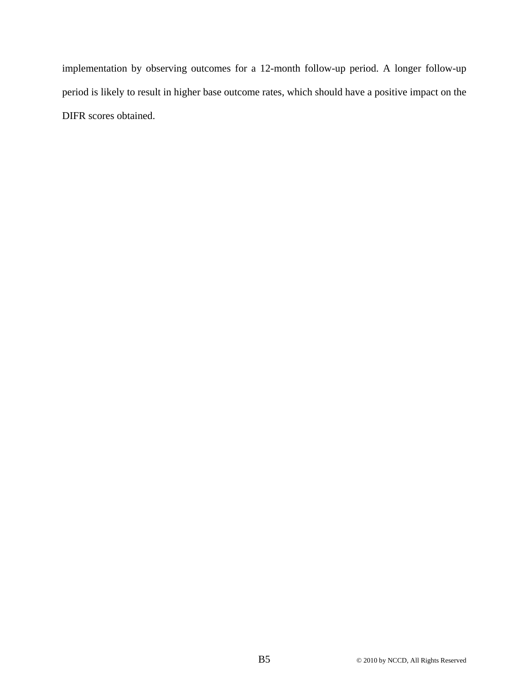implementation by observing outcomes for a 12-month follow-up period. A longer follow-up period is likely to result in higher base outcome rates, which should have a positive impact on the DIFR scores obtained.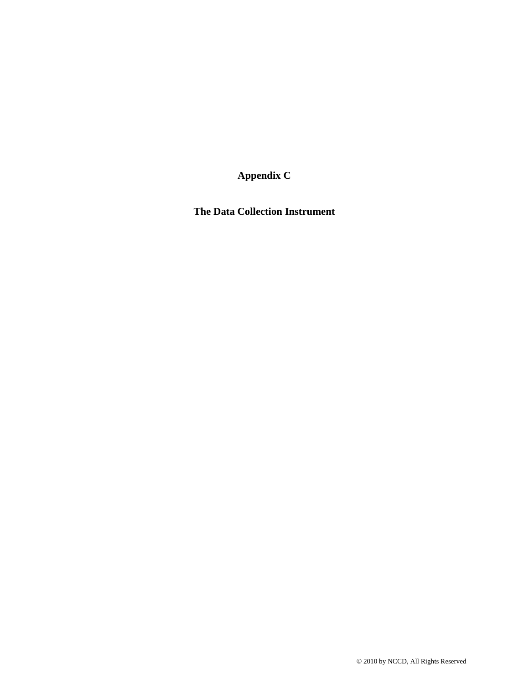**Appendix C** 

**The Data Collection Instrument**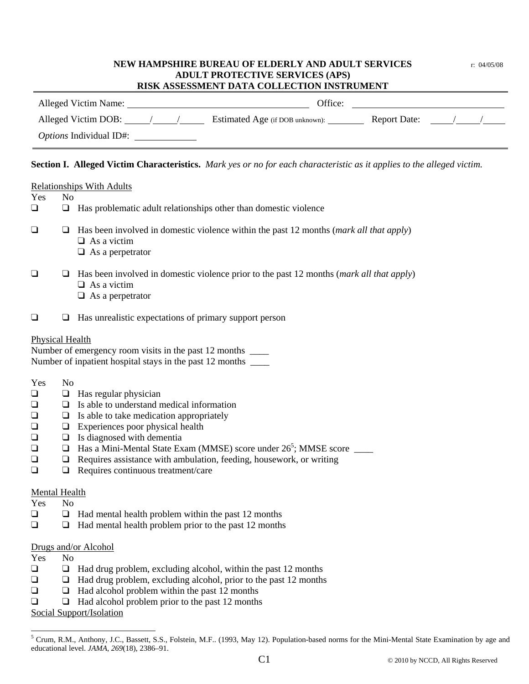#### **NEW HAMPSHIRE BUREAU OF ELDERLY AND ADULT SERVICES**  $\frac{04}{05008}$  **ADULT PROTECTIVE SERVICES (APS) RISK ASSESSMENT DATA COLLECTION INSTRUMENT**

| Alleged Victim Name:           |  | Office:                         |                     |  |
|--------------------------------|--|---------------------------------|---------------------|--|
| Alleged Victim DOB:            |  | Estimated Age (if DOB unknown): | <b>Report Date:</b> |  |
| <i>Options</i> Individual ID#: |  |                                 |                     |  |

#### **Section I. Alleged Victim Characteristics.** *Mark yes or no for each characteristic as it applies to the alleged victim.*

|                                                                                     |                                                                                 | <b>Relationships With Adults</b>                                                                                                                                                                                                                                                                                                                                                           |
|-------------------------------------------------------------------------------------|---------------------------------------------------------------------------------|--------------------------------------------------------------------------------------------------------------------------------------------------------------------------------------------------------------------------------------------------------------------------------------------------------------------------------------------------------------------------------------------|
| Yes<br>$\Box$                                                                       | N <sub>o</sub><br>$\Box$                                                        | Has problematic adult relationships other than domestic violence                                                                                                                                                                                                                                                                                                                           |
| $\Box$                                                                              | $\Box$                                                                          | Has been involved in domestic violence within the past 12 months (mark all that apply)<br>$\Box$ As a victim<br>$\Box$ As a perpetrator                                                                                                                                                                                                                                                    |
| $\Box$                                                                              | ❏                                                                               | Has been involved in domestic violence prior to the past 12 months (mark all that apply)<br>$\Box$ As a victim<br>$\Box$ As a perpetrator                                                                                                                                                                                                                                                  |
| ❏                                                                                   | u                                                                               | Has unrealistic expectations of primary support person                                                                                                                                                                                                                                                                                                                                     |
| Physical Health                                                                     |                                                                                 | Number of emergency room visits in the past 12 months ______<br>Number of inpatient hospital stays in the past 12 months _______                                                                                                                                                                                                                                                           |
| Yes<br>$\Box$<br>$\Box$<br>$\Box$<br>$\Box$<br>$\Box$<br>$\Box$<br>$\Box$<br>$\Box$ | N <sub>o</sub><br>$\Box$<br>$\Box$<br>$\Box$<br>⊔<br>$\Box$<br>$\Box$<br>$\Box$ | $\Box$ Has regular physician<br>Is able to understand medical information<br>Is able to take medication appropriately<br>Experiences poor physical health<br>Is diagnosed with dementia<br>Has a Mini-Mental State Exam (MMSE) score under 26 <sup>5</sup> ; MMSE score _____<br>Requires assistance with ambulation, feeding, housework, or writing<br>Requires continuous treatment/care |
| <b>Mental Health</b><br>Yes<br>$\Box$<br>$\Box$                                     | N <sub>o</sub><br>$\Box$<br>$\Box$                                              | Had mental health problem within the past 12 months<br>Had mental health problem prior to the past 12 months                                                                                                                                                                                                                                                                               |
| Yes<br>❏<br>$\Box$<br>$\Box$<br>n.                                                  | N <sub>o</sub><br>$\Box$<br>❏<br>$\Box$                                         | Drugs and/or Alcohol<br>Had drug problem, excluding alcohol, within the past 12 months<br>Had drug problem, excluding alcohol, prior to the past 12 months<br>Had alcohol problem within the past 12 months<br>$\Box$ Hod algebral nucleons nujque to the next 12 months.                                                                                                                  |

 $\Box$  Had alcohol problem prior to the past 12 months

Social Support/Isolation

 5 Crum, R.M., Anthony, J.C., Bassett, S.S., Folstein, M.F.. (1993, May 12). Population-based norms for the Mini-Mental State Examination by age and educational level. *JAMA*, *269*(18), 2386–91.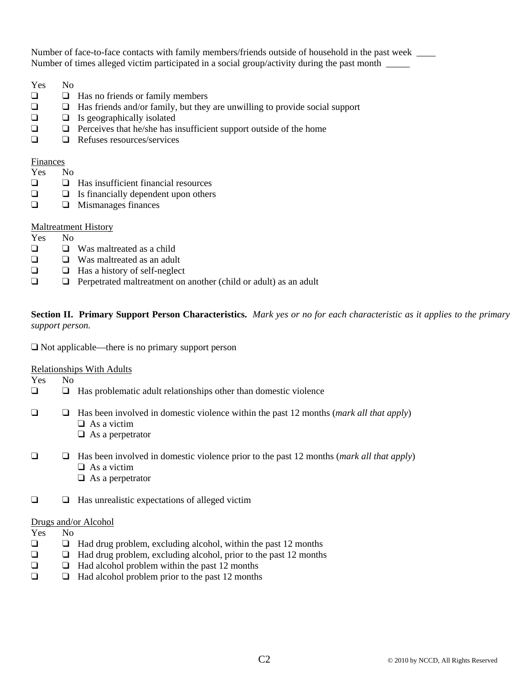Number of face-to-face contacts with family members/friends outside of household in the past week \_\_\_\_ Number of times alleged victim participated in a social group/activity during the past month

Yes No

- $\Box$   $\Box$  Has no friends or family members
- $\Box$   $\Box$  Has friends and/or family, but they are unwilling to provide social support
- $\Box$  Is geographically isolated
- $\Box$   $\Box$  Perceives that he/she has insufficient support outside of the home
- $\Box$  Refuses resources/services

### **Finances**

| Yes                      | N <sub>0</sub> |                                             |
|--------------------------|----------------|---------------------------------------------|
| $\Box$                   | ப              | Has insufficient financial resources        |
| $\Box$                   |                | $\Box$ Is financially dependent upon others |
| ❏                        | u.             | Mismanages finances                         |
|                          |                |                                             |
|                          |                | <b>Maltreatment History</b>                 |
| Yes                      | N <sub>0</sub> |                                             |
| ❏                        | ப              | Was maltreated as a child                   |
| $\Box$                   | $\blacksquare$ | Was maltreated as an adult                  |
| $\overline{\phantom{a}}$ |                | $\Box$ if $\Box$ if $\Box$ if $\Box$        |

- $\Box$   $\Box$  Has a history of self-neglect
- $\Box$   $\Box$  Perpetrated maltreatment on another (child or adult) as an adult

**Section II. Primary Support Person Characteristics.** *Mark yes or no for each characteristic as it applies to the primary support person.* 

 $\Box$  Not applicable—there is no primary support person

Relationships With Adults

Yes No

- $\Box$   $\Box$  Has problematic adult relationships other than domestic violence
- $\Box$  "  $\Box$  Has been involved in domestic violence within the past 12 months (*mark all that apply*)  $\Box$  As a victim  $\Box$  As a perpetrator
- $\Box$  "  $\Box$  Has been involved in domestic violence prior to the past 12 months (*mark all that apply*)  $\Box$  As a victim  $\Box$  As a perpetrator
- $\Box$   $\Box$  Has unrealistic expectations of alleged victim

### Drugs and/or Alcohol

- Yes No
- $\Box$   $\Box$  Had drug problem, excluding alcohol, within the past 12 months
- $\Box$   $\Box$  Had drug problem, excluding alcohol, prior to the past 12 months  $\Box$   $\Box$  Had alcohol problem within the past 12 months
- $\Box$  Had alcohol problem within the past 12 months
- $\Box$   $\Box$  Had alcohol problem prior to the past 12 months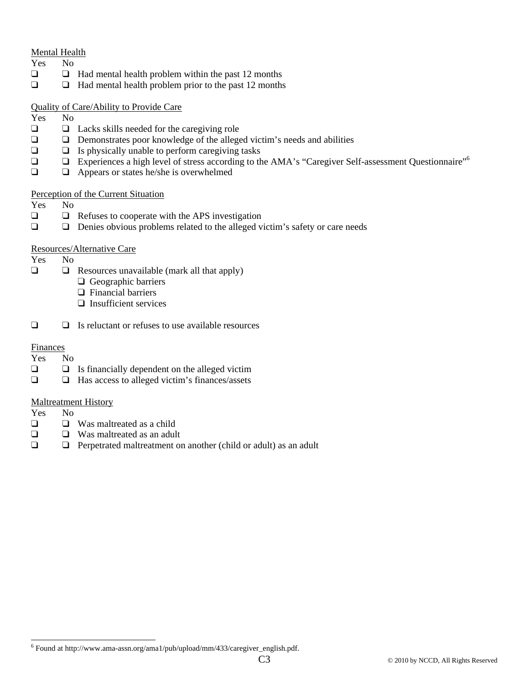## Mental Health

- Yes No
- $\Box$   $\Box$  Had mental health problem within the past 12 months
- $\Box$   $\Box$  Had mental health problem prior to the past 12 months

### Quality of Care/Ability to Provide Care

- Yes No
- $\Box$   $\Box$  Lacks skills needed for the caregiving role
- $\Box$   $\Box$  Demonstrates poor knowledge of the alleged victim's needs and abilities  $\Box$   $\Box$  Is physically unable to perform caregiving tasks
- $\Box$  Is physically unable to perform caregiving tasks
- $\Box$   $\Box$  Experiences a high level of stress according to the AMA's "Caregiver Self-assessment Questionnaire"<sup>6</sup><br> $\Box$  Appears or states he/she is overwhelmed
- $\Box$  Appears or states he/she is overwhelmed

### Perception of the Current Situation

- Yes No
- $\Box$   $\Box$  Refuses to cooperate with the APS investigation
- $\Box$   $\Box$  Denies obvious problems related to the alleged victim's safety or care needs

## Resources/Alternative Care

Yes No

- $\Box$  Resources unavailable (mark all that apply)
	- $\Box$  Geographic barriers
	- $\Box$  Financial barriers
	- $\Box$  Insufficient services
- $\Box$   $\Box$  Is reluctant or refuses to use available resources

# Finances

Yes No

- $\Box$  Is financially dependent on the alleged victim
- $\Box$  Has access to alleged victim's finances/assets

### Maltreatment History

Yes No

- $\Box$   $\Box$  Was maltreated as a child
- $\Box$   $\Box$  Was maltreated as an adult
- $\Box$   $\Box$  Perpetrated maltreatment on another (child or adult) as an adult

 $\overline{a}$ <sup>6</sup> Found at http://www.ama-assn.org/ama1/pub/upload/mm/433/caregiver\_english.pdf.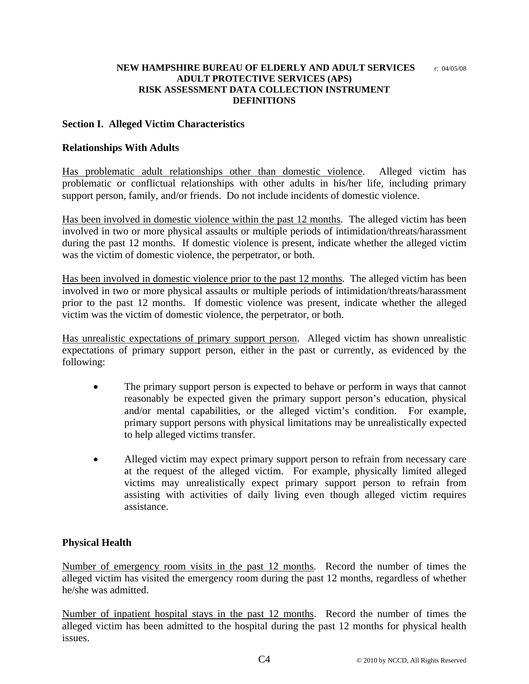#### **NEW HAMPSHIRE BUREAU OF ELDERLY AND ADULT SERVICES**  $\frac{1}{10}$  04/05/08 **ADULT PROTECTIVE SERVICES (APS) RISK ASSESSMENT DATA COLLECTION INSTRUMENT DEFINITIONS**

## **Section I. Alleged Victim Characteristics**

### **Relationships With Adults**

Has problematic adult relationships other than domestic violence. Alleged victim has problematic or conflictual relationships with other adults in his/her life, including primary support person, family, and/or friends. Do not include incidents of domestic violence.

Has been involved in domestic violence within the past 12 months. The alleged victim has been involved in two or more physical assaults or multiple periods of intimidation/threats/harassment during the past 12 months. If domestic violence is present, indicate whether the alleged victim was the victim of domestic violence, the perpetrator, or both.

Has been involved in domestic violence prior to the past 12 months. The alleged victim has been involved in two or more physical assaults or multiple periods of intimidation/threats/harassment prior to the past 12 months. If domestic violence was present, indicate whether the alleged victim was the victim of domestic violence, the perpetrator, or both.

Has unrealistic expectations of primary support person. Alleged victim has shown unrealistic expectations of primary support person, either in the past or currently, as evidenced by the following:

- The primary support person is expected to behave or perform in ways that cannot reasonably be expected given the primary support person's education, physical and/or mental capabilities, or the alleged victim's condition. For example, primary support persons with physical limitations may be unrealistically expected to help alleged victims transfer.
- Alleged victim may expect primary support person to refrain from necessary care at the request of the alleged victim. For example, physically limited alleged victims may unrealistically expect primary support person to refrain from assisting with activities of daily living even though alleged victim requires assistance.

# **Physical Health**

Number of emergency room visits in the past 12 months. Record the number of times the alleged victim has visited the emergency room during the past 12 months, regardless of whether he/she was admitted.

Number of inpatient hospital stays in the past 12 months. Record the number of times the alleged victim has been admitted to the hospital during the past 12 months for physical health issues.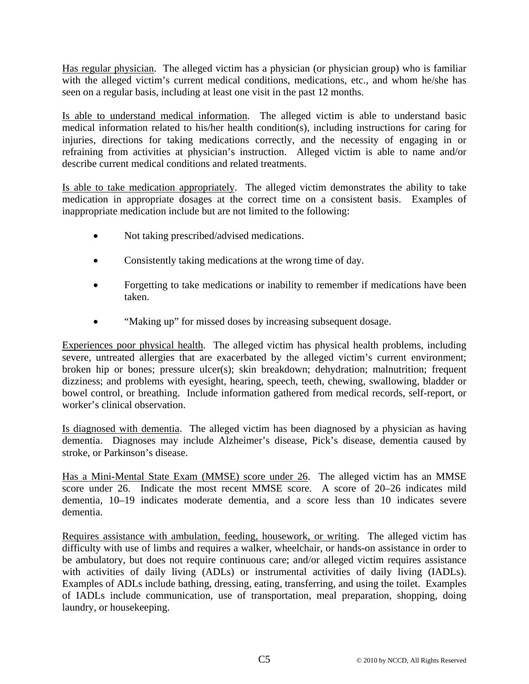Has regular physician. The alleged victim has a physician (or physician group) who is familiar with the alleged victim's current medical conditions, medications, etc., and whom he/she has seen on a regular basis, including at least one visit in the past 12 months.

Is able to understand medical information. The alleged victim is able to understand basic medical information related to his/her health condition(s), including instructions for caring for injuries, directions for taking medications correctly, and the necessity of engaging in or refraining from activities at physician's instruction. Alleged victim is able to name and/or describe current medical conditions and related treatments.

Is able to take medication appropriately. The alleged victim demonstrates the ability to take medication in appropriate dosages at the correct time on a consistent basis. Examples of inappropriate medication include but are not limited to the following:

- Not taking prescribed/advised medications.
- Consistently taking medications at the wrong time of day.
- Forgetting to take medications or inability to remember if medications have been taken.
- "Making up" for missed doses by increasing subsequent dosage.

Experiences poor physical health. The alleged victim has physical health problems, including severe, untreated allergies that are exacerbated by the alleged victim's current environment; broken hip or bones; pressure ulcer(s); skin breakdown; dehydration; malnutrition; frequent dizziness; and problems with eyesight, hearing, speech, teeth, chewing, swallowing, bladder or bowel control, or breathing. Include information gathered from medical records, self-report, or worker's clinical observation.

Is diagnosed with dementia. The alleged victim has been diagnosed by a physician as having dementia. Diagnoses may include Alzheimer's disease, Pick's disease, dementia caused by stroke, or Parkinson's disease.

Has a Mini-Mental State Exam (MMSE) score under 26. The alleged victim has an MMSE score under 26. Indicate the most recent MMSE score. A score of 20–26 indicates mild dementia, 10–19 indicates moderate dementia, and a score less than 10 indicates severe dementia.

Requires assistance with ambulation, feeding, housework, or writing. The alleged victim has difficulty with use of limbs and requires a walker, wheelchair, or hands-on assistance in order to be ambulatory, but does not require continuous care; and/or alleged victim requires assistance with activities of daily living (ADLs) or instrumental activities of daily living (IADLs). Examples of ADLs include bathing, dressing, eating, transferring, and using the toilet. Examples of IADLs include communication, use of transportation, meal preparation, shopping, doing laundry, or housekeeping.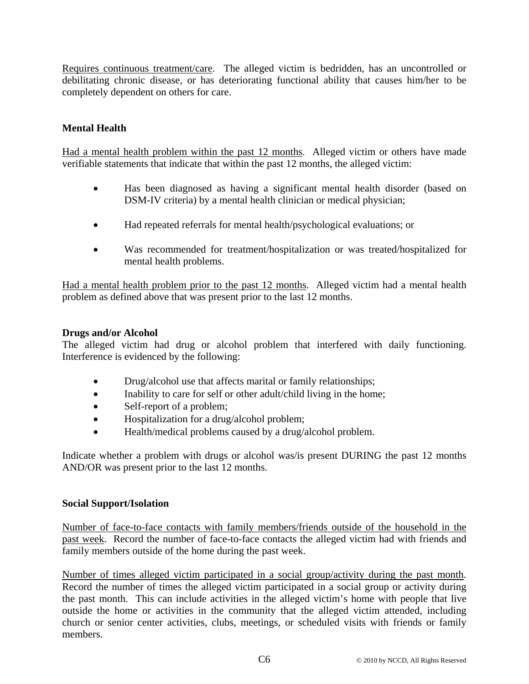Requires continuous treatment/care. The alleged victim is bedridden, has an uncontrolled or debilitating chronic disease, or has deteriorating functional ability that causes him/her to be completely dependent on others for care.

# **Mental Health**

Had a mental health problem within the past 12 months. Alleged victim or others have made verifiable statements that indicate that within the past 12 months, the alleged victim:

- Has been diagnosed as having a significant mental health disorder (based on DSM-IV criteria) by a mental health clinician or medical physician;
- Had repeated referrals for mental health/psychological evaluations; or
- Was recommended for treatment/hospitalization or was treated/hospitalized for mental health problems.

Had a mental health problem prior to the past 12 months. Alleged victim had a mental health problem as defined above that was present prior to the last 12 months.

# **Drugs and/or Alcohol**

The alleged victim had drug or alcohol problem that interfered with daily functioning. Interference is evidenced by the following:

- Drug/alcohol use that affects marital or family relationships;
- Inability to care for self or other adult/child living in the home;
- Self-report of a problem;
- Hospitalization for a drug/alcohol problem;
- Health/medical problems caused by a drug/alcohol problem.

Indicate whether a problem with drugs or alcohol was/is present DURING the past 12 months AND/OR was present prior to the last 12 months.

# **Social Support/Isolation**

Number of face-to-face contacts with family members/friends outside of the household in the past week. Record the number of face-to-face contacts the alleged victim had with friends and family members outside of the home during the past week.

Number of times alleged victim participated in a social group/activity during the past month. Record the number of times the alleged victim participated in a social group or activity during the past month. This can include activities in the alleged victim's home with people that live outside the home or activities in the community that the alleged victim attended, including church or senior center activities, clubs, meetings, or scheduled visits with friends or family members.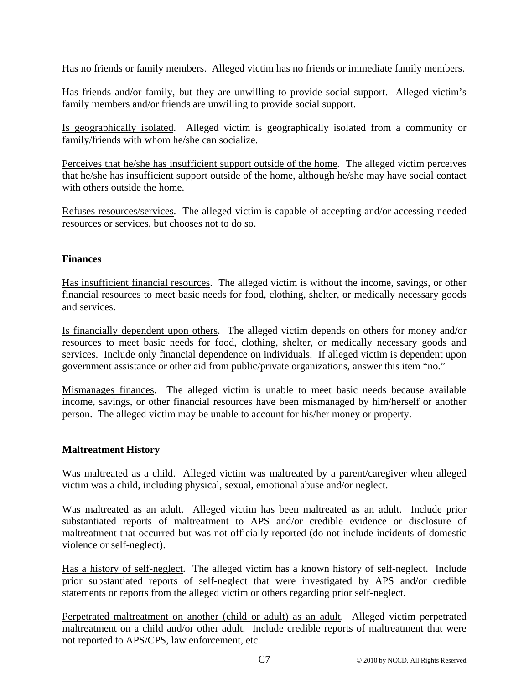Has no friends or family members. Alleged victim has no friends or immediate family members.

Has friends and/or family, but they are unwilling to provide social support. Alleged victim's family members and/or friends are unwilling to provide social support.

Is geographically isolated. Alleged victim is geographically isolated from a community or family/friends with whom he/she can socialize.

Perceives that he/she has insufficient support outside of the home. The alleged victim perceives that he/she has insufficient support outside of the home, although he/she may have social contact with others outside the home.

Refuses resources/services. The alleged victim is capable of accepting and/or accessing needed resources or services, but chooses not to do so.

# **Finances**

Has insufficient financial resources. The alleged victim is without the income, savings, or other financial resources to meet basic needs for food, clothing, shelter, or medically necessary goods and services.

Is financially dependent upon others. The alleged victim depends on others for money and/or resources to meet basic needs for food, clothing, shelter, or medically necessary goods and services. Include only financial dependence on individuals. If alleged victim is dependent upon government assistance or other aid from public/private organizations, answer this item "no."

Mismanages finances. The alleged victim is unable to meet basic needs because available income, savings, or other financial resources have been mismanaged by him/herself or another person. The alleged victim may be unable to account for his/her money or property.

# **Maltreatment History**

Was maltreated as a child. Alleged victim was maltreated by a parent/caregiver when alleged victim was a child, including physical, sexual, emotional abuse and/or neglect.

Was maltreated as an adult. Alleged victim has been maltreated as an adult. Include prior substantiated reports of maltreatment to APS and/or credible evidence or disclosure of maltreatment that occurred but was not officially reported (do not include incidents of domestic violence or self-neglect).

Has a history of self-neglect. The alleged victim has a known history of self-neglect. Include prior substantiated reports of self-neglect that were investigated by APS and/or credible statements or reports from the alleged victim or others regarding prior self-neglect.

Perpetrated maltreatment on another (child or adult) as an adult. Alleged victim perpetrated maltreatment on a child and/or other adult. Include credible reports of maltreatment that were not reported to APS/CPS, law enforcement, etc.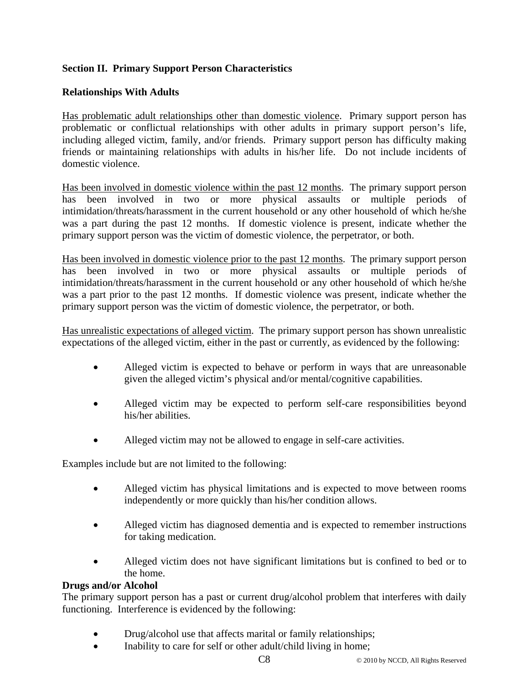# **Section II. Primary Support Person Characteristics**

# **Relationships With Adults**

Has problematic adult relationships other than domestic violence. Primary support person has problematic or conflictual relationships with other adults in primary support person's life, including alleged victim, family, and/or friends. Primary support person has difficulty making friends or maintaining relationships with adults in his/her life. Do not include incidents of domestic violence.

Has been involved in domestic violence within the past 12 months. The primary support person has been involved in two or more physical assaults or multiple periods of intimidation/threats/harassment in the current household or any other household of which he/she was a part during the past 12 months. If domestic violence is present, indicate whether the primary support person was the victim of domestic violence, the perpetrator, or both.

Has been involved in domestic violence prior to the past 12 months. The primary support person has been involved in two or more physical assaults or multiple periods of intimidation/threats/harassment in the current household or any other household of which he/she was a part prior to the past 12 months. If domestic violence was present, indicate whether the primary support person was the victim of domestic violence, the perpetrator, or both.

Has unrealistic expectations of alleged victim. The primary support person has shown unrealistic expectations of the alleged victim, either in the past or currently, as evidenced by the following:

- Alleged victim is expected to behave or perform in ways that are unreasonable given the alleged victim's physical and/or mental/cognitive capabilities.
- Alleged victim may be expected to perform self-care responsibilities beyond his/her abilities.
- Alleged victim may not be allowed to engage in self-care activities.

Examples include but are not limited to the following:

- Alleged victim has physical limitations and is expected to move between rooms independently or more quickly than his/her condition allows.
- Alleged victim has diagnosed dementia and is expected to remember instructions for taking medication.
- Alleged victim does not have significant limitations but is confined to bed or to the home.

# **Drugs and/or Alcohol**

The primary support person has a past or current drug/alcohol problem that interferes with daily functioning. Interference is evidenced by the following:

- Drug/alcohol use that affects marital or family relationships;
- Inability to care for self or other adult/child living in home;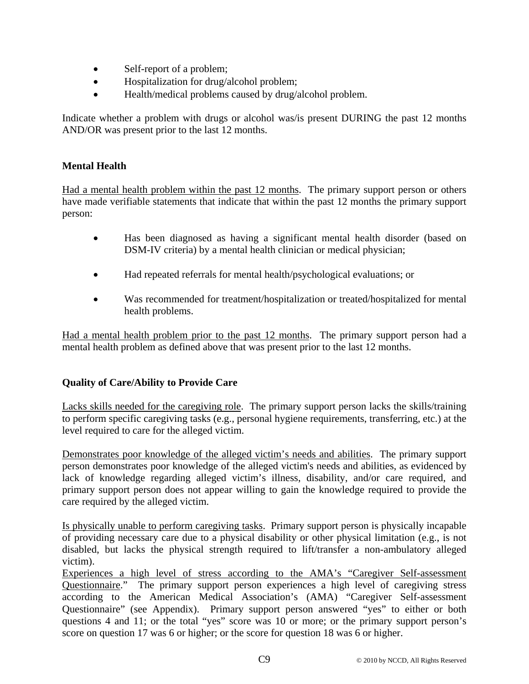- Self-report of a problem;
- Hospitalization for drug/alcohol problem;
- Health/medical problems caused by drug/alcohol problem.

Indicate whether a problem with drugs or alcohol was/is present DURING the past 12 months AND/OR was present prior to the last 12 months.

# **Mental Health**

Had a mental health problem within the past 12 months. The primary support person or others have made verifiable statements that indicate that within the past 12 months the primary support person:

- Has been diagnosed as having a significant mental health disorder (based on DSM-IV criteria) by a mental health clinician or medical physician;
- Had repeated referrals for mental health/psychological evaluations; or
- Was recommended for treatment/hospitalization or treated/hospitalized for mental health problems.

Had a mental health problem prior to the past 12 months. The primary support person had a mental health problem as defined above that was present prior to the last 12 months.

# **Quality of Care/Ability to Provide Care**

Lacks skills needed for the caregiving role. The primary support person lacks the skills/training to perform specific caregiving tasks (e.g., personal hygiene requirements, transferring, etc.) at the level required to care for the alleged victim.

Demonstrates poor knowledge of the alleged victim's needs and abilities. The primary support person demonstrates poor knowledge of the alleged victim's needs and abilities, as evidenced by lack of knowledge regarding alleged victim's illness, disability, and/or care required, and primary support person does not appear willing to gain the knowledge required to provide the care required by the alleged victim.

Is physically unable to perform caregiving tasks. Primary support person is physically incapable of providing necessary care due to a physical disability or other physical limitation (e.g., is not disabled, but lacks the physical strength required to lift/transfer a non-ambulatory alleged victim).

Experiences a high level of stress according to the AMA's "Caregiver Self-assessment Questionnaire." The primary support person experiences a high level of caregiving stress according to the American Medical Association's (AMA) "Caregiver Self-assessment Questionnaire" (see Appendix). Primary support person answered "yes" to either or both questions 4 and 11; or the total "yes" score was 10 or more; or the primary support person's score on question 17 was 6 or higher; or the score for question 18 was 6 or higher.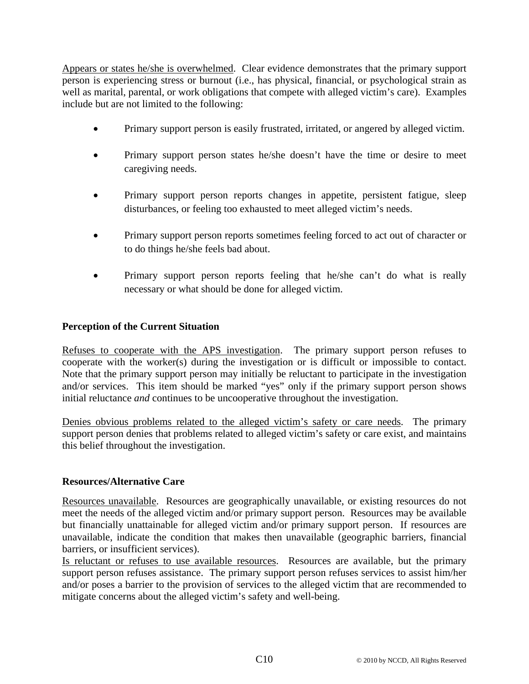Appears or states he/she is overwhelmed. Clear evidence demonstrates that the primary support person is experiencing stress or burnout (i.e., has physical, financial, or psychological strain as well as marital, parental, or work obligations that compete with alleged victim's care). Examples include but are not limited to the following:

- Primary support person is easily frustrated, irritated, or angered by alleged victim.
- Primary support person states he/she doesn't have the time or desire to meet caregiving needs.
- Primary support person reports changes in appetite, persistent fatigue, sleep disturbances, or feeling too exhausted to meet alleged victim's needs.
- Primary support person reports sometimes feeling forced to act out of character or to do things he/she feels bad about.
- Primary support person reports feeling that he/she can't do what is really necessary or what should be done for alleged victim.

# **Perception of the Current Situation**

Refuses to cooperate with the APS investigation. The primary support person refuses to cooperate with the worker(s) during the investigation or is difficult or impossible to contact. Note that the primary support person may initially be reluctant to participate in the investigation and/or services. This item should be marked "yes" only if the primary support person shows initial reluctance *and* continues to be uncooperative throughout the investigation.

Denies obvious problems related to the alleged victim's safety or care needs. The primary support person denies that problems related to alleged victim's safety or care exist, and maintains this belief throughout the investigation.

# **Resources/Alternative Care**

Resources unavailable. Resources are geographically unavailable, or existing resources do not meet the needs of the alleged victim and/or primary support person. Resources may be available but financially unattainable for alleged victim and/or primary support person. If resources are unavailable, indicate the condition that makes then unavailable (geographic barriers, financial barriers, or insufficient services).

Is reluctant or refuses to use available resources. Resources are available, but the primary support person refuses assistance. The primary support person refuses services to assist him/her and/or poses a barrier to the provision of services to the alleged victim that are recommended to mitigate concerns about the alleged victim's safety and well-being.